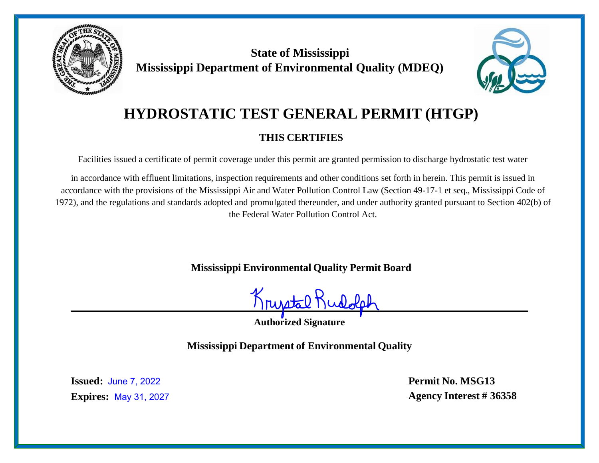

**State of Mississippi Mississippi Department of Environmental Quality (MDEQ)**



# **HYDROSTATIC TEST GENERAL PERMIT (HTGP)**

## **THIS CERTIFIES**

Facilities issued a certificate of permit coverage under this permit are granted permission to discharge hydrostatic test water

in accordance with effluent limitations, inspection requirements and other conditions set forth in herein. This permit is issued in accordance with the provisions of the Mississippi Air and Water Pollution Control Law (Section 49-17-1 et seq., Mississippi Code of 1972), and the regulations and standards adopted and promulgated thereunder, and under authority granted pursuant to Section 402(b) of the Federal Water Pollution Control Act.

**Mississippi Environmental Quality Permit Board**

Kristal<sup>!</sup>

**Authorized Signature**

**Mississippi Department of Environmental Quality**

**Issued:** June 7, 2022**Expires: May 31, 2027**  **Permit No. MSG13** May 31, 2027 **Agency Interest # 36358**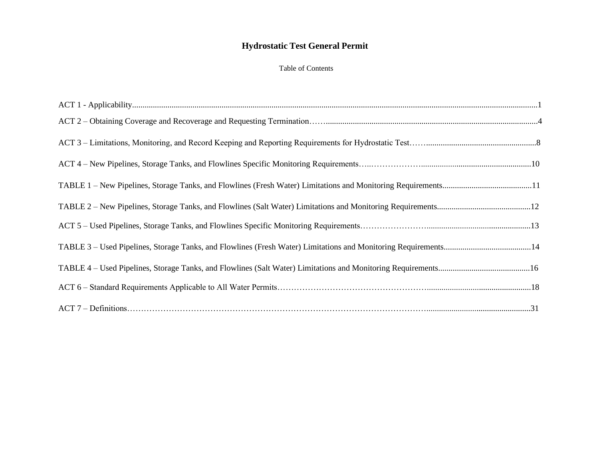#### Table of Contents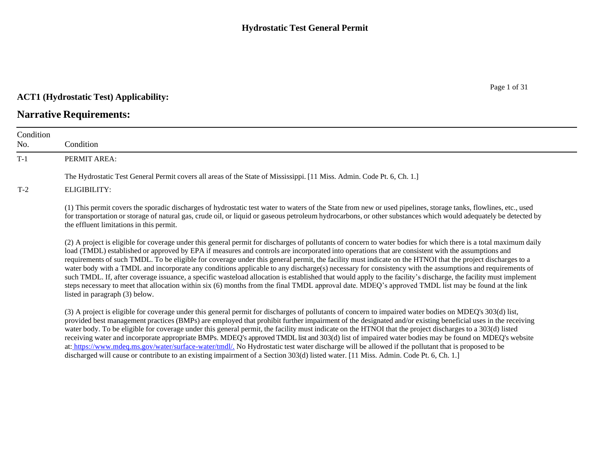#### **ACT1 (Hydrostatic Test) Applicability:**

## **Narrative Requirements:**

| Condition<br>No. | Condition                                                                                                                                                                                                                                                                                                                                                                                                                                                                                                                                                                                                                                                                                                                                                                                                                                                                                                                                                                                                    |
|------------------|--------------------------------------------------------------------------------------------------------------------------------------------------------------------------------------------------------------------------------------------------------------------------------------------------------------------------------------------------------------------------------------------------------------------------------------------------------------------------------------------------------------------------------------------------------------------------------------------------------------------------------------------------------------------------------------------------------------------------------------------------------------------------------------------------------------------------------------------------------------------------------------------------------------------------------------------------------------------------------------------------------------|
| $T-1$            | PERMIT AREA:                                                                                                                                                                                                                                                                                                                                                                                                                                                                                                                                                                                                                                                                                                                                                                                                                                                                                                                                                                                                 |
|                  | The Hydrostatic Test General Permit covers all areas of the State of Mississippi. [11 Miss. Admin. Code Pt. 6, Ch. 1.]                                                                                                                                                                                                                                                                                                                                                                                                                                                                                                                                                                                                                                                                                                                                                                                                                                                                                       |
| $T-2$            | ELIGIBILITY:                                                                                                                                                                                                                                                                                                                                                                                                                                                                                                                                                                                                                                                                                                                                                                                                                                                                                                                                                                                                 |
|                  | (1) This permit covers the sporadic discharges of hydrostatic test water to waters of the State from new or used pipelines, storage tanks, flowlines, etc., used<br>for transportation or storage of natural gas, crude oil, or liquid or gaseous petroleum hydrocarbons, or other substances which would adequately be detected by<br>the effluent limitations in this permit.                                                                                                                                                                                                                                                                                                                                                                                                                                                                                                                                                                                                                              |
|                  | (2) A project is eligible for coverage under this general permit for discharges of pollutants of concern to water bodies for which there is a total maximum daily<br>load (TMDL) established or approved by EPA if measures and controls are incorporated into operations that are consistent with the assumptions and<br>requirements of such TMDL. To be eligible for coverage under this general permit, the facility must indicate on the HTNOI that the project discharges to a<br>water body with a TMDL and incorporate any conditions applicable to any discharge(s) necessary for consistency with the assumptions and requirements of<br>such TMDL. If, after coverage issuance, a specific wasteload allocation is established that would apply to the facility's discharge, the facility must implement<br>steps necessary to meet that allocation within six (6) months from the final TMDL approval date. MDEQ's approved TMDL list may be found at the link<br>listed in paragraph (3) below. |
|                  | (3) A project is eligible for coverage under this general permit for discharges of pollutants of concern to impaired water bodies on MDEQ's 303(d) list,<br>provided best management practices (BMPs) are employed that prohibit further impairment of the designated and/or existing beneficial uses in the receiving<br>water body. To be eligible for coverage under this general permit, the facility must indicate on the HTNOI that the project discharges to a 303(d) listed<br>receiving water and incorporate appropriate BMPs. MDEQ's approved TMDL list and 303(d) list of impaired water bodies may be found on MDEQ's website<br>at: https://www.mdeq.ms.gov/water/surface-water/tmdl/. No Hydrostatic test water discharge will be allowed if the pollutant that is proposed to be<br>discharged will cause or contribute to an existing impairment of a Section 303(d) listed water. [11 Miss. Admin. Code Pt. 6, Ch. 1.]                                                                     |

Page 1 of 31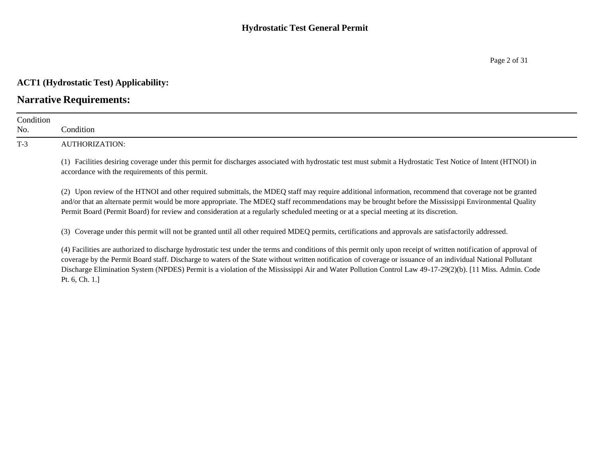#### **ACT1 (Hydrostatic Test) Applicability:**

### **Narrative Requirements:**

| Condition<br>No. | Condition                                                                                                                                                                                                         |  |  |  |  |  |  |
|------------------|-------------------------------------------------------------------------------------------------------------------------------------------------------------------------------------------------------------------|--|--|--|--|--|--|
| $T-3$            | AUTHORIZATION:                                                                                                                                                                                                    |  |  |  |  |  |  |
|                  | (1) Facilities desiring coverage under this permit for discharges associated with hydrostatic test must submit a Hydrostatic Test Notice of Intent (HTNOI) in<br>accordance with the requirements of this permit. |  |  |  |  |  |  |
|                  | (2) Upon review of the HTNOI and other required submittals, the MDEQ staff may require additional information, recommend that coverage not be granted                                                             |  |  |  |  |  |  |

and/or that an alternate permit would be more appropriate. The MDEQ staff recommendations may be brought before the Mississippi Environmental Quality Permit Board (Permit Board) for review and consideration at a regularly scheduled meeting or at a special meeting at its discretion.

(3) Coverage under this permit will not be granted until all other required MDEQ permits, certifications and approvals are satisfactorily addressed.

(4) Facilities are authorized to discharge hydrostatic test under the terms and conditions of this permit only upon receipt of written notification of approval of coverage by the Permit Board staff. Discharge to waters of the State without written notification of coverage or issuance of an individual National Pollutant Discharge Elimination System (NPDES) Permit is a violation of the Mississippi Air and Water Pollution Control Law 49-17-29(2)(b). [11 Miss. Admin. Code Pt. 6, Ch. 1.]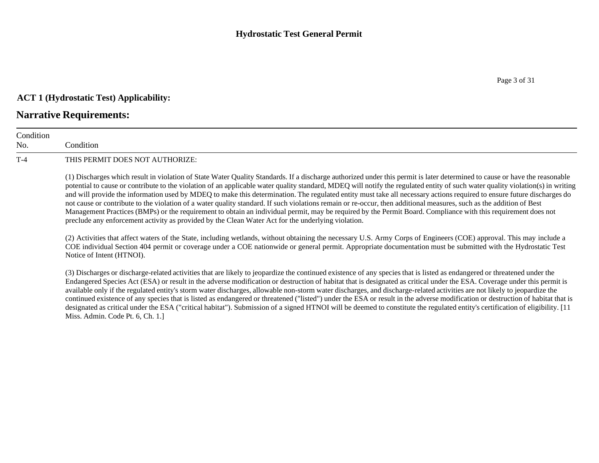## **ACT 1 (Hydrostatic Test) Applicability:**

## **Narrative Requirements:**

| Condition<br>No. | Condition                                                                                                                                                                                                                                                                                                                                                                                                                                                                                                                                                                                                                                                                                                                                                                                                                                                                                                                                                                            |
|------------------|--------------------------------------------------------------------------------------------------------------------------------------------------------------------------------------------------------------------------------------------------------------------------------------------------------------------------------------------------------------------------------------------------------------------------------------------------------------------------------------------------------------------------------------------------------------------------------------------------------------------------------------------------------------------------------------------------------------------------------------------------------------------------------------------------------------------------------------------------------------------------------------------------------------------------------------------------------------------------------------|
| $T-4$            | THIS PERMIT DOES NOT AUTHORIZE:                                                                                                                                                                                                                                                                                                                                                                                                                                                                                                                                                                                                                                                                                                                                                                                                                                                                                                                                                      |
|                  | (1) Discharges which result in violation of State Water Quality Standards. If a discharge authorized under this permit is later determined to cause or have the reasonable<br>potential to cause or contribute to the violation of an applicable water quality standard, MDEQ will notify the regulated entity of such water quality violation(s) in writing<br>and will provide the information used by MDEQ to make this determination. The regulated entity must take all necessary actions required to ensure future discharges do<br>not cause or contribute to the violation of a water quality standard. If such violations remain or re-occur, then additional measures, such as the addition of Best<br>Management Practices (BMPs) or the requirement to obtain an individual permit, may be required by the Permit Board. Compliance with this requirement does not<br>preclude any enforcement activity as provided by the Clean Water Act for the underlying violation. |
|                  | (2) Activities that affect waters of the State, including wetlands, without obtaining the necessary U.S. Army Corps of Engineers (COE) approval. This may include a<br>COE individual Section 404 permit or coverage under a COE nationwide or general permit. Appropriate documentation must be submitted with the Hydrostatic Test<br>Notice of Intent (HTNOI).                                                                                                                                                                                                                                                                                                                                                                                                                                                                                                                                                                                                                    |
|                  | (3) Discharges or discharge-related activities that are likely to jeopardize the continued existence of any species that is listed as endangered or threatened under the<br>Endangered Species Act (ESA) or result in the adverse modification or destruction of habitat that is designated as critical under the ESA. Coverage under this permit is<br>available only if the regulated entity's storm water discharges, allowable non-storm water discharges, and discharge-related activities are not likely to jeopardize the<br>continued existence of any species that is listed as endangered or threatened ("listed") under the ESA or result in the adverse modification or destruction of habitat that is<br>designated as critical under the ESA ("critical habitat"). Submission of a signed HTNOI will be deemed to constitute the regulated entity's certification of eligibility. [11]<br>Miss. Admin. Code Pt. 6, Ch. 1.]                                             |

Page 3 of 31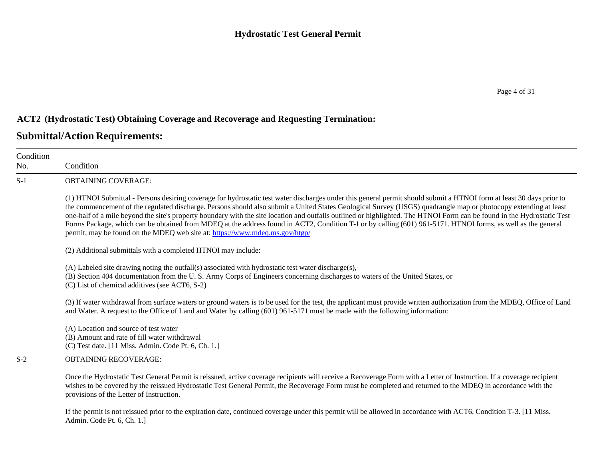### **ACT2 (Hydrostatic Test) Obtaining Coverage and Recoverage and Requesting Termination:**

| Condition<br>No. | Condition                                                                                                                                                                                                                                                                                                                                                                                                                                                                                                                                                                                                                                                                                                                                                         |
|------------------|-------------------------------------------------------------------------------------------------------------------------------------------------------------------------------------------------------------------------------------------------------------------------------------------------------------------------------------------------------------------------------------------------------------------------------------------------------------------------------------------------------------------------------------------------------------------------------------------------------------------------------------------------------------------------------------------------------------------------------------------------------------------|
| $S-1$            | OBTAINING COVERAGE:                                                                                                                                                                                                                                                                                                                                                                                                                                                                                                                                                                                                                                                                                                                                               |
|                  | (1) HTNOI Submittal - Persons desiring coverage for hydrostatic test water discharges under this general permit should submit a HTNOI form at least 30 days prior to<br>the commencement of the regulated discharge. Persons should also submit a United States Geological Survey (USGS) quadrangle map or photocopy extending at least<br>one-half of a mile beyond the site's property boundary with the site location and outfalls outlined or highlighted. The HTNOI Form can be found in the Hydrostatic Test<br>Forms Package, which can be obtained from MDEQ at the address found in ACT2, Condition T-1 or by calling (601) 961-5171. HTNOI forms, as well as the general<br>permit, may be found on the MDEQ web site at: https://www.mdeq.ms.gov/htgp/ |
|                  | (2) Additional submittals with a completed HTNOI may include:                                                                                                                                                                                                                                                                                                                                                                                                                                                                                                                                                                                                                                                                                                     |
|                  | (A) Labeled site drawing noting the outfall(s) associated with hydrostatic test water discharge(s),<br>(B) Section 404 documentation from the U.S. Army Corps of Engineers concerning discharges to waters of the United States, or<br>(C) List of chemical additives (see ACT6, S-2)                                                                                                                                                                                                                                                                                                                                                                                                                                                                             |
|                  | (3) If water withdrawal from surface waters or ground waters is to be used for the test, the applicant must provide written authorization from the MDEQ, Office of Land<br>and Water. A request to the Office of Land and Water by calling (601) 961-5171 must be made with the following information:                                                                                                                                                                                                                                                                                                                                                                                                                                                            |
|                  | (A) Location and source of test water<br>(B) Amount and rate of fill water withdrawal<br>(C) Test date. [11 Miss. Admin. Code Pt. 6, Ch. 1.]                                                                                                                                                                                                                                                                                                                                                                                                                                                                                                                                                                                                                      |
| $S-2$            | <b>OBTAINING RECOVERAGE:</b>                                                                                                                                                                                                                                                                                                                                                                                                                                                                                                                                                                                                                                                                                                                                      |
|                  | Once the Hydrostatic Test General Permit is reissued, active coverage recipients will receive a Recoverage Form with a Letter of Instruction. If a coverage recipient<br>wishes to be covered by the reissued Hydrostatic Test General Permit, the Recoverage Form must be completed and returned to the MDEQ in accordance with the<br>provisions of the Letter of Instruction.                                                                                                                                                                                                                                                                                                                                                                                  |
|                  | If the permit is not reissued prior to the expiration date, continued coverage under this permit will be allowed in accordance with ACT6, Condition T-3. [11 Miss.<br>Admin. Code Pt. 6, Ch. 1.]                                                                                                                                                                                                                                                                                                                                                                                                                                                                                                                                                                  |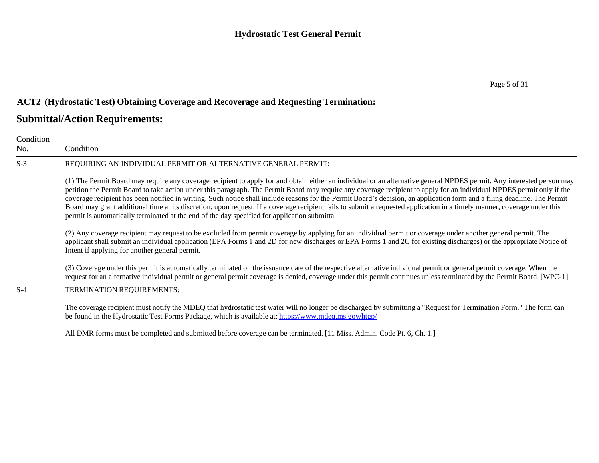### **ACT2 (Hydrostatic Test) Obtaining Coverage and Recoverage and Requesting Termination:**

| Condition<br>No. | Condition                                                                                                                                                                                                                                                                                                                                                                                                                                                                                                                                                                                                                                                                                                                                                                                                  |  |  |  |  |  |  |  |
|------------------|------------------------------------------------------------------------------------------------------------------------------------------------------------------------------------------------------------------------------------------------------------------------------------------------------------------------------------------------------------------------------------------------------------------------------------------------------------------------------------------------------------------------------------------------------------------------------------------------------------------------------------------------------------------------------------------------------------------------------------------------------------------------------------------------------------|--|--|--|--|--|--|--|
| $S-3$            | REQUIRING AN INDIVIDUAL PERMIT OR ALTERNATIVE GENERAL PERMIT:                                                                                                                                                                                                                                                                                                                                                                                                                                                                                                                                                                                                                                                                                                                                              |  |  |  |  |  |  |  |
|                  | (1) The Permit Board may require any coverage recipient to apply for and obtain either an individual or an alternative general NPDES permit. Any interested person may<br>petition the Permit Board to take action under this paragraph. The Permit Board may require any coverage recipient to apply for an individual NPDES permit only if the<br>coverage recipient has been notified in writing. Such notice shall include reasons for the Permit Board's decision, an application form and a filing deadline. The Permit<br>Board may grant additional time at its discretion, upon request. If a coverage recipient fails to submit a requested application in a timely manner, coverage under this<br>permit is automatically terminated at the end of the day specified for application submittal. |  |  |  |  |  |  |  |
|                  | (2) Any coverage recipient may request to be excluded from permit coverage by applying for an individual permit or coverage under another general permit. The<br>applicant shall submit an individual application (EPA Forms 1 and 2D for new discharges or EPA Forms 1 and 2C for existing discharges) or the appropriate Notice of<br>Intent if applying for another general permit.                                                                                                                                                                                                                                                                                                                                                                                                                     |  |  |  |  |  |  |  |
| $S-4$            | (3) Coverage under this permit is automatically terminated on the issuance date of the respective alternative individual permit or general permit coverage. When the<br>request for an alternative individual permit or general permit coverage is denied, coverage under this permit continues unless terminated by the Permit Board. [WPC-1]<br>TERMINATION REQUIREMENTS:                                                                                                                                                                                                                                                                                                                                                                                                                                |  |  |  |  |  |  |  |
|                  | The coverage recipient must notify the MDEQ that hydrostatic test water will no longer be discharged by submitting a "Request for Termination Form." The form can<br>be found in the Hydrostatic Test Forms Package, which is available at: https://www.mdeq.ms.gov/htgp/                                                                                                                                                                                                                                                                                                                                                                                                                                                                                                                                  |  |  |  |  |  |  |  |
|                  | All DMR forms must be completed and submitted before coverage can be terminated. [11 Miss. Admin. Code Pt. 6, Ch. 1.]                                                                                                                                                                                                                                                                                                                                                                                                                                                                                                                                                                                                                                                                                      |  |  |  |  |  |  |  |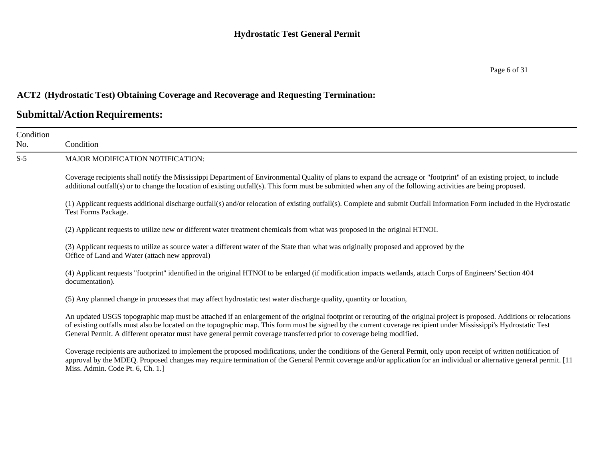#### Page 6 of 31

### **ACT2 (Hydrostatic Test) Obtaining Coverage and Recoverage and Requesting Termination:**

| Condition<br>No. | Condition                                                                                                                                                                                                                                                                                                                                                                                                                                                            |  |  |  |  |  |  |  |
|------------------|----------------------------------------------------------------------------------------------------------------------------------------------------------------------------------------------------------------------------------------------------------------------------------------------------------------------------------------------------------------------------------------------------------------------------------------------------------------------|--|--|--|--|--|--|--|
| $S-5$            | <b>MAJOR MODIFICATION NOTIFICATION:</b>                                                                                                                                                                                                                                                                                                                                                                                                                              |  |  |  |  |  |  |  |
|                  | Coverage recipients shall notify the Mississippi Department of Environmental Quality of plans to expand the acreage or "footprint" of an existing project, to include<br>additional outfall(s) or to change the location of existing outfall(s). This form must be submitted when any of the following activities are being proposed.                                                                                                                                |  |  |  |  |  |  |  |
|                  | (1) Applicant requests additional discharge outfall(s) and/or relocation of existing outfall(s). Complete and submit Outfall Information Form included in the Hydrostatic<br>Test Forms Package.                                                                                                                                                                                                                                                                     |  |  |  |  |  |  |  |
|                  | (2) Applicant requests to utilize new or different water treatment chemicals from what was proposed in the original HTNOI.                                                                                                                                                                                                                                                                                                                                           |  |  |  |  |  |  |  |
|                  | (3) Applicant requests to utilize as source water a different water of the State than what was originally proposed and approved by the<br>Office of Land and Water (attach new approval)                                                                                                                                                                                                                                                                             |  |  |  |  |  |  |  |
|                  | (4) Applicant requests "footprint" identified in the original HTNOI to be enlarged (if modification impacts wetlands, attach Corps of Engineers' Section 404<br>documentation).                                                                                                                                                                                                                                                                                      |  |  |  |  |  |  |  |
|                  | (5) Any planned change in processes that may affect hydrostatic test water discharge quality, quantity or location,                                                                                                                                                                                                                                                                                                                                                  |  |  |  |  |  |  |  |
|                  | An updated USGS topographic map must be attached if an enlargement of the original footprint or rerouting of the original project is proposed. Additions or relocations<br>of existing outfalls must also be located on the topographic map. This form must be signed by the current coverage recipient under Mississippi's Hydrostatic Test<br>General Permit. A different operator must have general permit coverage transferred prior to coverage being modified. |  |  |  |  |  |  |  |
|                  | Coverage recipients are authorized to implement the proposed modifications, under the conditions of the General Permit, only upon receipt of written notification of<br>approval by the MDEQ. Proposed changes may require termination of the General Permit coverage and/or application for an individual or alternative general permit. [11<br>Miss. Admin. Code Pt. 6, Ch. 1.]                                                                                    |  |  |  |  |  |  |  |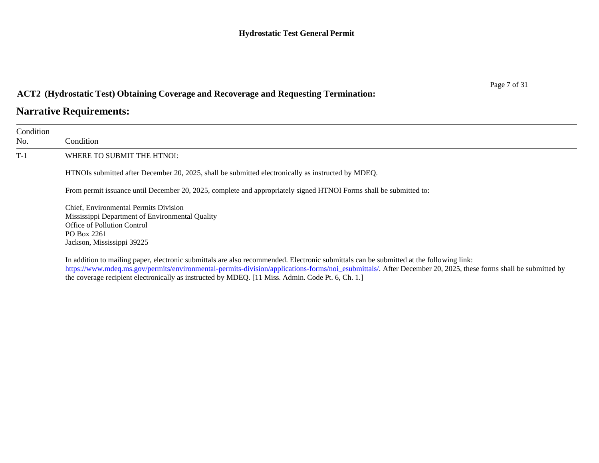### **ACT2 (Hydrostatic Test) Obtaining Coverage and Recoverage and Requesting Termination:**

## **Narrative Requirements:**

| Condition<br>No. | Condition                                                                                                                                                                                                                                                                                                 |
|------------------|-----------------------------------------------------------------------------------------------------------------------------------------------------------------------------------------------------------------------------------------------------------------------------------------------------------|
| $T-1$            | WHERE TO SUBMIT THE HTNOI:                                                                                                                                                                                                                                                                                |
|                  | HTNOIs submitted after December 20, 2025, shall be submitted electronically as instructed by MDEQ.                                                                                                                                                                                                        |
|                  | From permit issuance until December 20, 2025, complete and appropriately signed HTNOI Forms shall be submitted to:                                                                                                                                                                                        |
|                  | Chief, Environmental Permits Division<br>Mississippi Department of Environmental Quality<br>Office of Pollution Control<br>PO Box 2261<br>Jackson, Mississippi 39225                                                                                                                                      |
|                  | In addition to mailing paper, electronic submittals are also recommended. Electronic submittals can be submitted at the following link:<br>https://www.mdeq.ms.gov/permits/environmental-permits-division/applications-forms/noi esubmittals/. After December 20, 2025, these forms shall be submitted by |

the coverage recipient electronically as instructed by MDEQ. [11 Miss. Admin. Code Pt. 6, Ch. 1.]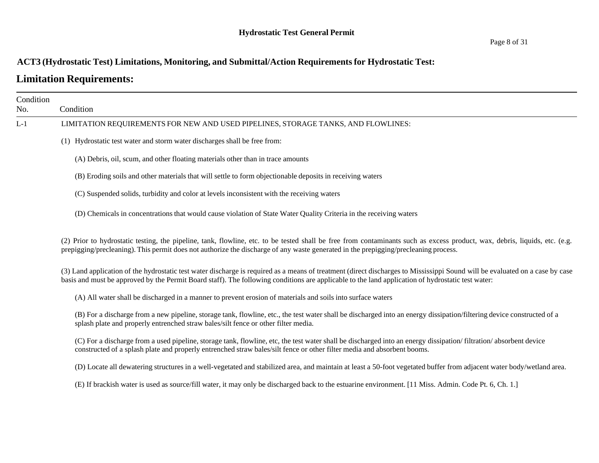### **ACT3 (Hydrostatic Test) Limitations, Monitoring, and Submittal/Action Requirementsfor Hydrostatic Test:**

## **Limitation Requirements:**

| Condition |                                                                                                                                                                                                                                                                                                                                   |
|-----------|-----------------------------------------------------------------------------------------------------------------------------------------------------------------------------------------------------------------------------------------------------------------------------------------------------------------------------------|
| No.       | Condition                                                                                                                                                                                                                                                                                                                         |
| $L-1$     | LIMITATION REQUIREMENTS FOR NEW AND USED PIPELINES, STORAGE TANKS, AND FLOWLINES:                                                                                                                                                                                                                                                 |
|           | (1) Hydrostatic test water and storm water discharges shall be free from:                                                                                                                                                                                                                                                         |
|           | (A) Debris, oil, scum, and other floating materials other than in trace amounts                                                                                                                                                                                                                                                   |
|           | (B) Eroding soils and other materials that will settle to form objectionable deposits in receiving waters                                                                                                                                                                                                                         |
|           | (C) Suspended solids, turbidity and color at levels inconsistent with the receiving waters                                                                                                                                                                                                                                        |
|           | (D) Chemicals in concentrations that would cause violation of State Water Quality Criteria in the receiving waters                                                                                                                                                                                                                |
|           | (2) Prior to hydrostatic testing, the pipeline, tank, flowline, etc. to be tested shall be free from contaminants such as excess product, wax, debris, liquids, etc. (e.g.<br>prepigging/precleaning). This permit does not authorize the discharge of any waste generated in the prepigging/precleaning process.                 |
|           | (3) Land application of the hydrostatic test water discharge is required as a means of treatment (direct discharges to Mississippi Sound will be evaluated on a case by case<br>basis and must be approved by the Permit Board staff). The following conditions are applicable to the land application of hydrostatic test water: |
|           | (A) All water shall be discharged in a manner to prevent erosion of materials and soils into surface waters                                                                                                                                                                                                                       |
|           | (B) For a discharge from a new pipeline, storage tank, flowline, etc., the test water shall be discharged into an energy dissipation/filtering device constructed of a<br>splash plate and properly entrenched straw bales/silt fence or other filter media.                                                                      |
|           | (C) For a discharge from a used pipeline, storage tank, flowline, etc, the test water shall be discharged into an energy dissipation/filtration/absorbent device<br>constructed of a splash plate and properly entrenched straw bales/silt fence or other filter media and absorbent booms.                                       |
|           | (D) Locate all dewatering structures in a well-vegetated and stabilized area, and maintain at least a 50-foot vegetated buffer from adjacent water body/wetland area.                                                                                                                                                             |
|           | (E) If brackish water is used as source/fill water, it may only be discharged back to the estuarine environment. [11 Miss. Admin. Code Pt. 6, Ch. 1.]                                                                                                                                                                             |
|           |                                                                                                                                                                                                                                                                                                                                   |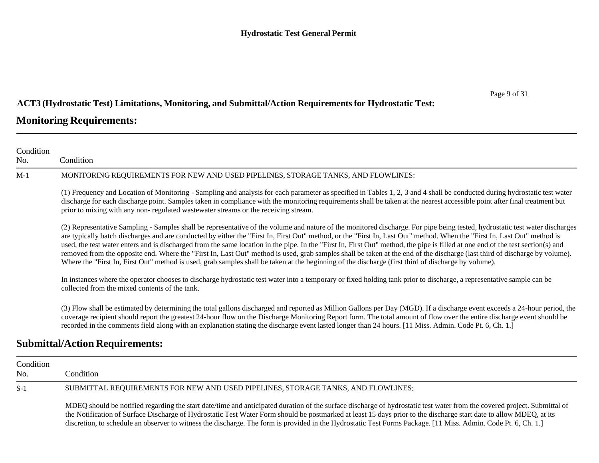## **ACT3 (Hydrostatic Test) Limitations, Monitoring, and Submittal/Action Requirementsfor Hydrostatic Test:**

### **Monitoring Requirements:**

| Condition        |                                                                                                                                                                                                                                                                                                                                                                                                                                                                                                                                                                                                                                                                                                                                                                                                                                                                                 |
|------------------|---------------------------------------------------------------------------------------------------------------------------------------------------------------------------------------------------------------------------------------------------------------------------------------------------------------------------------------------------------------------------------------------------------------------------------------------------------------------------------------------------------------------------------------------------------------------------------------------------------------------------------------------------------------------------------------------------------------------------------------------------------------------------------------------------------------------------------------------------------------------------------|
| No.              | Condition                                                                                                                                                                                                                                                                                                                                                                                                                                                                                                                                                                                                                                                                                                                                                                                                                                                                       |
| M-1              | MONITORING REQUIREMENTS FOR NEW AND USED PIPELINES, STORAGE TANKS, AND FLOWLINES:                                                                                                                                                                                                                                                                                                                                                                                                                                                                                                                                                                                                                                                                                                                                                                                               |
|                  | (1) Frequency and Location of Monitoring - Sampling and analysis for each parameter as specified in Tables 1, 2, 3 and 4 shall be conducted during hydrostatic test water<br>discharge for each discharge point. Samples taken in compliance with the monitoring requirements shall be taken at the nearest accessible point after final treatment but<br>prior to mixing with any non-regulated wastewater streams or the receiving stream.                                                                                                                                                                                                                                                                                                                                                                                                                                    |
|                  | (2) Representative Sampling - Samples shall be representative of the volume and nature of the monitored discharge. For pipe being tested, hydrostatic test water discharges<br>are typically batch discharges and are conducted by either the "First In, First Out" method, or the "First In, Last Out" method. When the "First In, Last Out" method is<br>used, the test water enters and is discharged from the same location in the pipe. In the "First In, First Out" method, the pipe is filled at one end of the test section(s) and<br>removed from the opposite end. Where the "First In, Last Out" method is used, grab samples shall be taken at the end of the discharge (last third of discharge by volume).<br>Where the "First In, First Out" method is used, grab samples shall be taken at the beginning of the discharge (first third of discharge by volume). |
|                  | In instances where the operator chooses to discharge hydrostatic test water into a temporary or fixed holding tank prior to discharge, a representative sample can be<br>collected from the mixed contents of the tank.                                                                                                                                                                                                                                                                                                                                                                                                                                                                                                                                                                                                                                                         |
|                  | (3) Flow shall be estimated by determining the total gallons discharged and reported as Million Gallons per Day (MGD). If a discharge event exceeds a 24-hour period, the<br>coverage recipient should report the greatest 24-hour flow on the Discharge Monitoring Report form. The total amount of flow over the entire discharge event should be<br>recorded in the comments field along with an explanation stating the discharge event lasted longer than 24 hours. [11 Miss. Admin. Code Pt. 6, Ch. 1.]                                                                                                                                                                                                                                                                                                                                                                   |
|                  | <b>Submittal/Action Requirements:</b>                                                                                                                                                                                                                                                                                                                                                                                                                                                                                                                                                                                                                                                                                                                                                                                                                                           |
| Condition<br>No. | Condition                                                                                                                                                                                                                                                                                                                                                                                                                                                                                                                                                                                                                                                                                                                                                                                                                                                                       |

S-1 SUBMITTAL REQUIREMENTS FOR NEW AND USED PIPELINES, STORAGE TANKS, AND FLOWLINES:

MDEQ should be notified regarding the start date/time and anticipated duration of the surface discharge of hydrostatic test water from the covered project. Submittal of the Notification of Surface Discharge of Hydrostatic Test Water Form should be postmarked at least 15 days prior to the discharge start date to allow MDEQ, at its discretion, to schedule an observer to witness the discharge. The form is provided in the Hydrostatic Test Forms Package. [11 Miss. Admin. Code Pt. 6, Ch. 1.]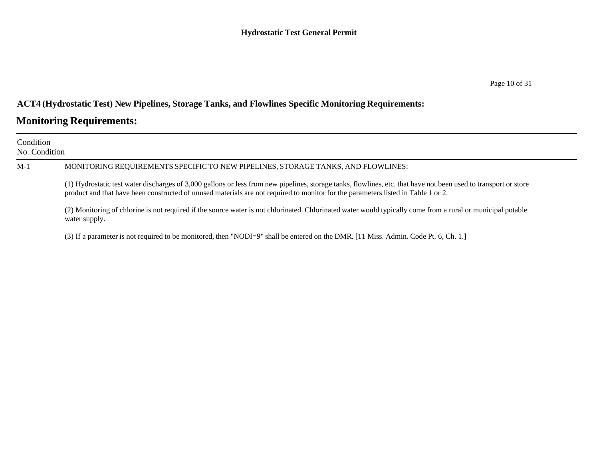### **ACT4 (Hydrostatic Test) New Pipelines, Storage Tanks, and Flowlines Specific Monitoring Requirements:**

## **Monitoring Requirements:**

| Condition<br>No. Condition |                                                                                                                                                                                                                                                                                                      |  |  |  |  |  |  |
|----------------------------|------------------------------------------------------------------------------------------------------------------------------------------------------------------------------------------------------------------------------------------------------------------------------------------------------|--|--|--|--|--|--|
| $M-1$                      | MONITORING REQUIREMENTS SPECIFIC TO NEW PIPELINES, STORAGE TANKS, AND FLOWLINES:                                                                                                                                                                                                                     |  |  |  |  |  |  |
|                            | (1) Hydrostatic test water discharges of 3,000 gallons or less from new pipelines, storage tanks, flowlines, etc. that have not been used to transport or store<br>product and that have been constructed of unused materials are not required to monitor for the parameters listed in Table 1 or 2. |  |  |  |  |  |  |
|                            | (2) Monitoring of chlorine is not required if the source water is not chlorinated. Chlorinated water would typically come from a rural or municipal potable<br>water supply.                                                                                                                         |  |  |  |  |  |  |
|                            | (3) If a parameter is not required to be monitored, then "NODI=9" shall be entered on the DMR. [11 Miss. Admin. Code Pt. 6, Ch. 1.]                                                                                                                                                                  |  |  |  |  |  |  |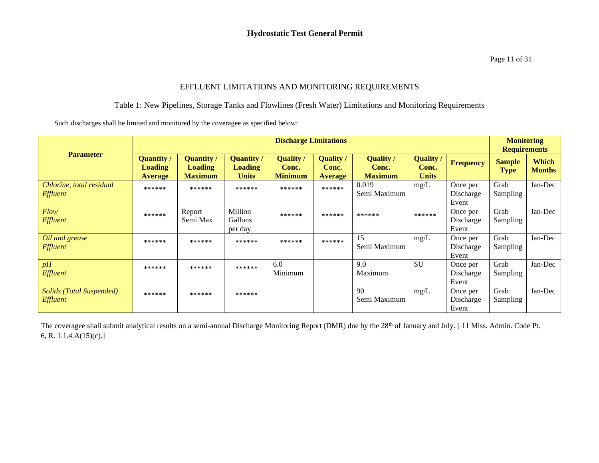#### EFFLUENT LIMITATIONS AND MONITORING REQUIREMENTS

#### Table 1: New Pipelines, Storage Tanks and Flowlines (Fresh Water) Limitations and Monitoring Requirements

Such discharges shall be limited and monitored by the coveragee as specified below:

| <b>Parameter</b>                                   | <b>Discharge Limitations</b>                   |                                                       |                                                     |                                             |                                             |                                      |                                           |                                | <b>Monitoring</b><br><b>Requirements</b> |                               |
|----------------------------------------------------|------------------------------------------------|-------------------------------------------------------|-----------------------------------------------------|---------------------------------------------|---------------------------------------------|--------------------------------------|-------------------------------------------|--------------------------------|------------------------------------------|-------------------------------|
|                                                    | Quantity /<br><b>Loading</b><br><b>Average</b> | <b>Quantity /</b><br><b>Loading</b><br><b>Maximum</b> | <b>Quantity</b> /<br><b>Loading</b><br><b>Units</b> | <b>Quality</b> /<br>Conc.<br><b>Minimum</b> | <b>Quality</b> /<br>Conc.<br><b>Average</b> | Quality /<br>Conc.<br><b>Maximum</b> | <b>Quality /</b><br>Conc.<br><b>Units</b> | <b>Frequency</b>               | <b>Sample</b><br><b>Type</b>             | <b>Which</b><br><b>Months</b> |
| Chlorine, total residual<br>Effluent               | ******                                         | ******                                                | ******                                              | ******                                      | ******                                      | 0.019<br>Semi Maximum                | mg/L                                      | Once per<br>Discharge<br>Event | Grab<br>Sampling                         | Jan-Dec                       |
| <b>Flow</b><br><b>Effluent</b>                     | ******                                         | Report<br>Semi Max                                    | Million<br><b>Gallons</b><br>per day                | ******                                      | ******                                      | ******                               | ******                                    | Once per<br>Discharge<br>Event | Grab<br>Sampling                         | Jan-Dec                       |
| Oil and grease<br><b>Effluent</b>                  | ******                                         | ******                                                | ******                                              | ******                                      | ******                                      | 15<br>Semi Maximum                   | mg/L                                      | Once per<br>Discharge<br>Event | Grab<br>Sampling                         | Jan-Dec                       |
| pH<br>Effluent                                     | ******                                         | ******                                                | ******                                              | 6.0<br>Minimum                              |                                             | 9.0<br>Maximum                       | <b>SU</b>                                 | Once per<br>Discharge<br>Event | Grab<br><b>Sampling</b>                  | Jan-Dec                       |
| <b>Solids (Total Suspended)</b><br><b>Effluent</b> | ******                                         | ******                                                | ******                                              |                                             |                                             | 90<br>Semi Maximum                   | mg/L                                      | Once per<br>Discharge<br>Event | Grab<br>Sampling                         | Jan-Dec                       |

The coveragee shall submit analytical results on a semi-annual Discharge Monitoring Report (DMR) due by the 28<sup>th</sup> of January and July. [11 Miss. Admin. Code Pt. 6, R. 1.1.4.A(15)(c).]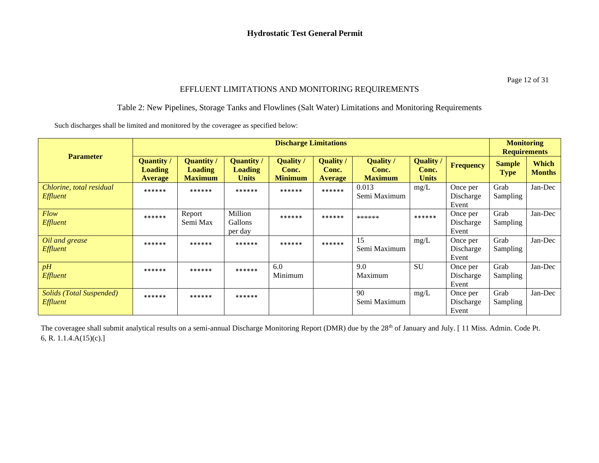Page 12 of 31

#### EFFLUENT LIMITATIONS AND MONITORING REQUIREMENTS

#### Table 2: New Pipelines, Storage Tanks and Flowlines (Salt Water) Limitations and Monitoring Requirements

Such discharges shall be limited and monitored by the coveragee as specified below:

|                                             | <b>Discharge Limitations</b>                   |                                                       |                                                     |                                           |                                             |                                             |                                         |                                | <b>Monitoring</b><br><b>Requirements</b> |                               |
|---------------------------------------------|------------------------------------------------|-------------------------------------------------------|-----------------------------------------------------|-------------------------------------------|---------------------------------------------|---------------------------------------------|-----------------------------------------|--------------------------------|------------------------------------------|-------------------------------|
| <b>Parameter</b>                            | Quantity /<br><b>Loading</b><br><b>Average</b> | <b>Quantity /</b><br><b>Loading</b><br><b>Maximum</b> | <b>Quantity</b> /<br><b>Loading</b><br><b>Units</b> | <b>Quality</b><br>Conc.<br><b>Minimum</b> | <b>Quality /</b><br>Conc.<br><b>Average</b> | <b>Quality</b> /<br>Conc.<br><b>Maximum</b> | <b>Quality</b><br>Conc.<br><b>Units</b> | <b>Frequency</b>               | <b>Sample</b><br><b>Type</b>             | <b>Which</b><br><b>Months</b> |
| Chlorine, total residual<br>Effluent        | ******                                         | ******                                                | ******                                              | ******                                    | ******                                      | 0.013<br>Semi Maximum                       | mg/L                                    | Once per<br>Discharge<br>Event | Grab<br>Sampling                         | Jan-Dec                       |
| Flow<br><b>Effluent</b>                     | ******                                         | Report<br>Semi Max                                    | Million<br>Gallons<br>per day                       | ******                                    | ******                                      | ******                                      | ******                                  | Once per<br>Discharge<br>Event | Grab<br>Sampling                         | Jan-Dec                       |
| Oil and grease<br><b>Effluent</b>           | ******                                         | ******                                                | ******                                              | ******                                    | ******                                      | 15<br>Semi Maximum                          | mg/L                                    | Once per<br>Discharge<br>Event | Grab<br>Sampling                         | Jan-Dec                       |
| pH<br>Effluent                              | ******                                         | ******                                                | ******                                              | 6.0<br>Minimum                            |                                             | 9.0<br>Maximum                              | <b>SU</b>                               | Once per<br>Discharge<br>Event | Grab<br>Sampling                         | Jan-Dec                       |
| Solids (Total Suspended)<br><b>Effluent</b> | ******                                         | ******                                                | ******                                              |                                           |                                             | 90<br>Semi Maximum                          | mg/L                                    | Once per<br>Discharge<br>Event | Grab<br>Sampling                         | Jan-Dec                       |

The coveragee shall submit analytical results on a semi-annual Discharge Monitoring Report (DMR) due by the 28<sup>th</sup> of January and July. [11 Miss. Admin. Code Pt. 6, R. 1.1.4.A(15)(c).]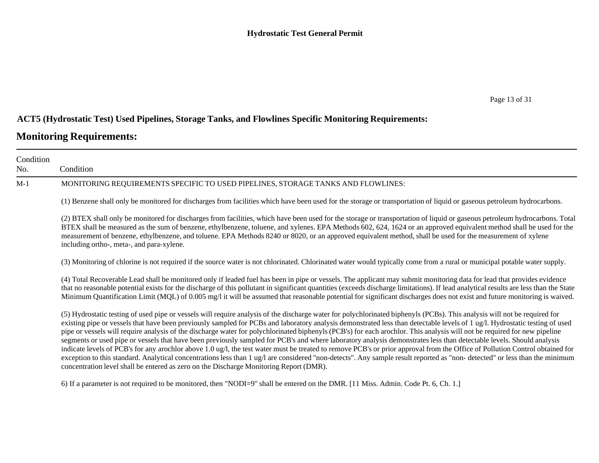#### **ACT5 (Hydrostatic Test) Used Pipelines, Storage Tanks, and Flowlines Specific Monitoring Requirements:**

## **Monitoring Requirements:**

| Condition<br>No. | Condition                                                                                                                                                                                                                                                                                                                                                                                                                                                                                                                                                                                                                                                                                                                                                                                                                                                                                                                                                                                                                                                                                                                                                             |
|------------------|-----------------------------------------------------------------------------------------------------------------------------------------------------------------------------------------------------------------------------------------------------------------------------------------------------------------------------------------------------------------------------------------------------------------------------------------------------------------------------------------------------------------------------------------------------------------------------------------------------------------------------------------------------------------------------------------------------------------------------------------------------------------------------------------------------------------------------------------------------------------------------------------------------------------------------------------------------------------------------------------------------------------------------------------------------------------------------------------------------------------------------------------------------------------------|
| $M-1$            | MONITORING REQUIREMENTS SPECIFIC TO USED PIPELINES, STORAGE TANKS AND FLOWLINES:                                                                                                                                                                                                                                                                                                                                                                                                                                                                                                                                                                                                                                                                                                                                                                                                                                                                                                                                                                                                                                                                                      |
|                  | (1) Benzene shall only be monitored for discharges from facilities which have been used for the storage or transportation of liquid or gaseous petroleum hydrocarbons.                                                                                                                                                                                                                                                                                                                                                                                                                                                                                                                                                                                                                                                                                                                                                                                                                                                                                                                                                                                                |
|                  | (2) BTEX shall only be monitored for discharges from facilities, which have been used for the storage or transportation of liquid or gaseous petroleum hydrocarbons. Total<br>BTEX shall be measured as the sum of benzene, ethylbenzene, toluene, and xylenes. EPA Methods 602, 624, 1624 or an approved equivalent method shall be used for the<br>measurement of benzene, ethylbenzene, and toluene. EPA Methods 8240 or 8020, or an approved equivalent method, shall be used for the measurement of xylene<br>including ortho-, meta-, and para-xylene.                                                                                                                                                                                                                                                                                                                                                                                                                                                                                                                                                                                                          |
|                  | (3) Monitoring of chlorine is not required if the source water is not chlorinated. Chlorinated water would typically come from a rural or municipal potable water supply.                                                                                                                                                                                                                                                                                                                                                                                                                                                                                                                                                                                                                                                                                                                                                                                                                                                                                                                                                                                             |
|                  | (4) Total Recoverable Lead shall be monitored only if leaded fuel has been in pipe or vessels. The applicant may submit monitoring data for lead that provides evidence<br>that no reasonable potential exists for the discharge of this pollutant in significant quantities (exceeds discharge limitations). If lead analytical results are less than the State<br>Minimum Quantification Limit (MQL) of 0.005 mg/l it will be assumed that reasonable potential for significant discharges does not exist and future monitoring is waived.                                                                                                                                                                                                                                                                                                                                                                                                                                                                                                                                                                                                                          |
|                  | (5) Hydrostatic testing of used pipe or vessels will require analysis of the discharge water for polychlorinated biphenyls (PCBs). This analysis will not be required for<br>existing pipe or vessels that have been previously sampled for PCBs and laboratory analysis demonstrated less than detectable levels of 1 ug/l. Hydrostatic testing of used<br>pipe or vessels will require analysis of the discharge water for polychlorinated biphenyls (PCB's) for each arochlor. This analysis will not be required for new pipeline<br>segments or used pipe or vessels that have been previously sampled for PCB's and where laboratory analysis demonstrates less than detectable levels. Should analysis<br>indicate levels of PCB's for any arochlor above 1.0 ug/l, the test water must be treated to remove PCB's or prior approval from the Office of Pollution Control obtained for<br>exception to this standard. Analytical concentrations less than 1 ug/l are considered "non-detects". Any sample result reported as "non-detected" or less than the minimum<br>concentration level shall be entered as zero on the Discharge Monitoring Report (DMR). |

6) If a parameter is not required to be monitored, then "NODI=9" shall be entered on the DMR. [11 Miss. Admin. Code Pt. 6, Ch. 1.]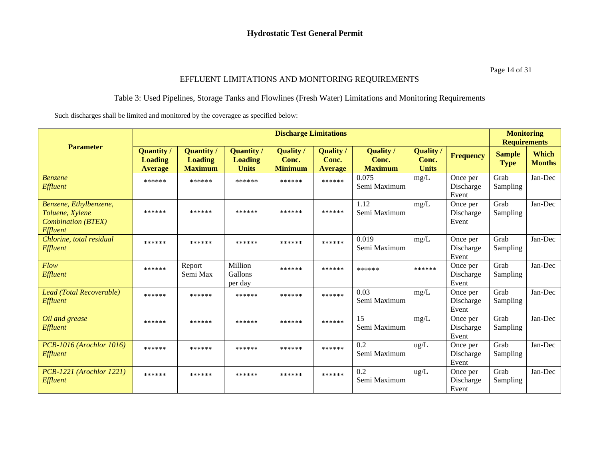#### Page 14 of 31

#### EFFLUENT LIMITATIONS AND MONITORING REQUIREMENTS

#### Table 3: Used Pipelines, Storage Tanks and Flowlines (Fresh Water) Limitations and Monitoring Requirements

Such discharges shall be limited and monitored by the coveragee as specified below:

|                                                                                    |                                                |                                                       |                                                     | <b>Discharge Limitations</b>              |                                             |                                             |                                           |                                | <b>Monitoring</b><br><b>Requirements</b> |                               |
|------------------------------------------------------------------------------------|------------------------------------------------|-------------------------------------------------------|-----------------------------------------------------|-------------------------------------------|---------------------------------------------|---------------------------------------------|-------------------------------------------|--------------------------------|------------------------------------------|-------------------------------|
| <b>Parameter</b>                                                                   | <b>Quantity</b> /<br>Loading<br><b>Average</b> | <b>Quantity /</b><br><b>Loading</b><br><b>Maximum</b> | <b>Quantity /</b><br><b>Loading</b><br><b>Units</b> | <b>Quality</b><br>Conc.<br><b>Minimum</b> | <b>Quality /</b><br>Conc.<br><b>Average</b> | <b>Quality</b> /<br>Conc.<br><b>Maximum</b> | <b>Quality</b> /<br>Conc.<br><b>Units</b> | Frequency                      | <b>Sample</b><br><b>Type</b>             | <b>Which</b><br><b>Months</b> |
| <b>Benzene</b><br>Effluent                                                         | ******                                         | ******                                                | ******                                              | ******                                    | ******                                      | 0.075<br>Semi Maximum                       | mg/L                                      | Once per<br>Discharge<br>Event | Grab<br>Sampling                         | Jan-Dec                       |
| Benzene, Ethylbenzene,<br>Toluene, Xylene<br><b>Combination (BTEX)</b><br>Effluent | ******                                         | ******                                                | ******                                              | ******                                    | ******                                      | 1.12<br>Semi Maximum                        | mg/L                                      | Once per<br>Discharge<br>Event | Grab<br>Sampling                         | Jan-Dec                       |
| Chlorine, total residual<br>Effluent                                               | ******                                         | ******                                                | ******                                              | ******                                    | ******                                      | 0.019<br>Semi Maximum                       | mg/L                                      | Once per<br>Discharge<br>Event | Grab<br>Sampling                         | Jan-Dec                       |
| Flow<br>Effluent                                                                   | ******                                         | Report<br>Semi Max                                    | Million<br>Gallons<br>per day                       | ******                                    | ******                                      | ******                                      | ******                                    | Once per<br>Discharge<br>Event | Grab<br>Sampling                         | Jan-Dec                       |
| Lead (Total Recoverable)<br>Effluent                                               | ******                                         | ******                                                | ******                                              | ******                                    | ******                                      | 0.03<br>Semi Maximum                        | mg/L                                      | Once per<br>Discharge<br>Event | Grab<br>Sampling                         | Jan-Dec                       |
| Oil and grease<br>Effluent                                                         | ******                                         | ******                                                | ******                                              | ******                                    | ******                                      | 15<br>Semi Maximum                          | mg/L                                      | Once per<br>Discharge<br>Event | Grab<br>Sampling                         | Jan-Dec                       |
| <b>PCB-1016 (Arochlor 1016)</b><br>Effluent                                        | ******                                         | ******                                                | ******                                              | ******                                    | ******                                      | 0.2<br>Semi Maximum                         | ug/L                                      | Once per<br>Discharge<br>Event | Grab<br>Sampling                         | Jan-Dec                       |
| <b>PCB-1221</b> (Arochlor 1221)<br>Effluent                                        | ******                                         | ******                                                | ******                                              | ******                                    | ******                                      | 0.2<br>Semi Maximum                         | $\text{ug/L}$                             | Once per<br>Discharge<br>Event | Grab<br>Sampling                         | Jan-Dec                       |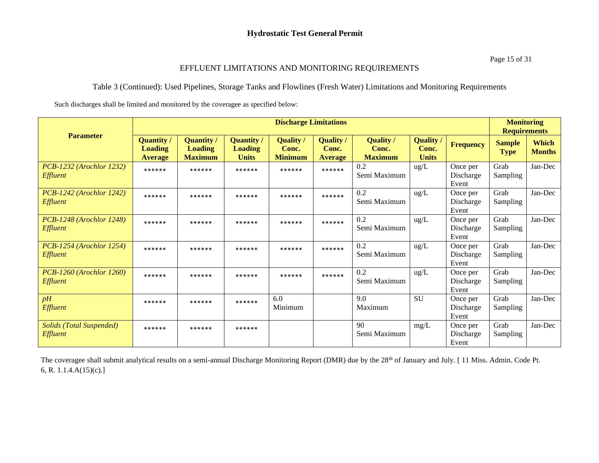#### EFFLUENT LIMITATIONS AND MONITORING REQUIREMENTS

#### Table 3 (Continued): Used Pipelines, Storage Tanks and Flowlines (Fresh Water) Limitations and Monitoring Requirements

Such discharges shall be limited and monitored by the coveragee as specified below:

|                                             |                                                |                                                       |                                                     | <b>Discharge Limitations</b>              |                                           |                                             |                                         |                                | <b>Monitoring</b><br><b>Requirements</b> |                               |
|---------------------------------------------|------------------------------------------------|-------------------------------------------------------|-----------------------------------------------------|-------------------------------------------|-------------------------------------------|---------------------------------------------|-----------------------------------------|--------------------------------|------------------------------------------|-------------------------------|
| <b>Parameter</b>                            | <b>Quantity</b> /<br>Loading<br><b>Average</b> | <b>Quantity</b> /<br><b>Loading</b><br><b>Maximum</b> | <b>Quantity</b> /<br><b>Loading</b><br><b>Units</b> | <b>Quality</b><br>Conc.<br><b>Minimum</b> | <b>Quality</b><br>Conc.<br><b>Average</b> | <b>Quality /</b><br>Conc.<br><b>Maximum</b> | <b>Quality</b><br>Conc.<br><b>Units</b> | <b>Frequency</b>               | <b>Sample</b><br><b>Type</b>             | <b>Which</b><br><b>Months</b> |
| PCB-1232 (Arochlor 1232)<br><b>Effluent</b> | ******                                         | ******                                                | ******                                              | ******                                    | ******                                    | 0.2<br>Semi Maximum                         | $\text{ug/L}$                           | Once per<br>Discharge<br>Event | Grab<br>Sampling                         | Jan-Dec                       |
| PCB-1242 (Arochlor 1242)<br><i>Effluent</i> | ******                                         | ******                                                | ******                                              | ******                                    | ******                                    | 0.2<br>Semi Maximum                         | $\text{ug/L}$                           | Once per<br>Discharge<br>Event | Grab<br>Sampling                         | Jan-Dec                       |
| PCB-1248 (Arochlor 1248)<br>Effluent        | ******                                         | ******                                                | ******                                              | ******                                    | ******                                    | 0.2<br>Semi Maximum                         | $\text{ug/L}$                           | Once per<br>Discharge<br>Event | Grab<br>Sampling                         | Jan-Dec                       |
| PCB-1254 (Arochlor 1254)<br>Effluent        | ******                                         | ******                                                | ******                                              | ******                                    | ******                                    | 0.2<br>Semi Maximum                         | $\text{ug/L}$                           | Once per<br>Discharge<br>Event | Grab<br>Sampling                         | Jan-Dec                       |
| <b>PCB-1260</b> (Arochlor 1260)<br>Effluent | ******                                         | ******                                                | ******                                              | ******                                    | ******                                    | 0.2<br>Semi Maximum                         | $\text{ug/L}$                           | Once per<br>Discharge<br>Event | Grab<br>Sampling                         | Jan-Dec                       |
| pH<br>Effluent                              | ******                                         | ******                                                | ******                                              | 6.0<br>Minimum                            |                                           | 9.0<br>Maximum                              | <b>SU</b>                               | Once per<br>Discharge<br>Event | Grab<br>Sampling                         | Jan-Dec                       |
| <b>Solids (Total Suspended)</b><br>Effluent | ******                                         | ******                                                | ******                                              |                                           |                                           | 90<br>Semi Maximum                          | mg/L                                    | Once per<br>Discharge<br>Event | Grab<br>Sampling                         | Jan-Dec                       |

The coveragee shall submit analytical results on a semi-annual Discharge Monitoring Report (DMR) due by the 28<sup>th</sup> of January and July. [11 Miss. Admin. Code Pt. 6, R. 1.1.4.A(15)(c).]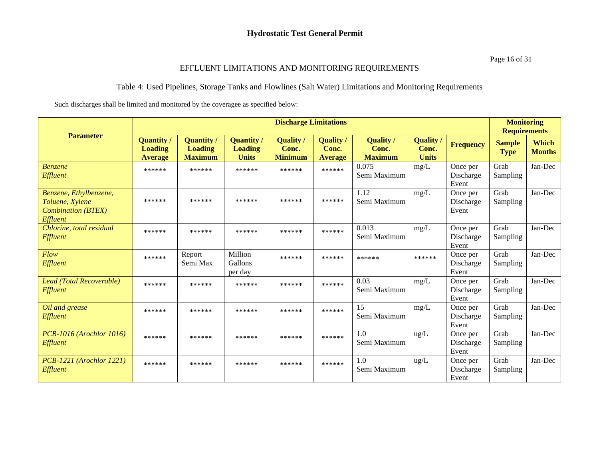#### EFFLUENT LIMITATIONS AND MONITORING REQUIREMENTS

#### Table 4: Used Pipelines, Storage Tanks and Flowlines (Salt Water) Limitations and Monitoring Requirements

Such discharges shall be limited and monitored by the coveragee as specified below:

|                                                                                    |                                                       |                                                |                                                     | <b>Discharge Limitations</b>                |                                             |                                             |                                           |                                | <b>Monitoring</b><br><b>Requirements</b> |                               |
|------------------------------------------------------------------------------------|-------------------------------------------------------|------------------------------------------------|-----------------------------------------------------|---------------------------------------------|---------------------------------------------|---------------------------------------------|-------------------------------------------|--------------------------------|------------------------------------------|-------------------------------|
| <b>Parameter</b>                                                                   | <b>Quantity</b> /<br><b>Loading</b><br><b>Average</b> | Quantity /<br><b>Loading</b><br><b>Maximum</b> | <b>Quantity</b> /<br><b>Loading</b><br><b>Units</b> | <b>Quality</b> /<br>Conc.<br><b>Minimum</b> | <b>Quality</b> /<br>Conc.<br><b>Average</b> | <b>Quality</b> /<br>Conc.<br><b>Maximum</b> | <b>Quality /</b><br>Conc.<br><b>Units</b> | <b>Frequency</b>               | <b>Sample</b><br><b>Type</b>             | <b>Which</b><br><b>Months</b> |
| Benzene<br>Effluent                                                                | ******                                                | ******                                         | ******                                              | ******                                      | ******                                      | 0.075<br>Semi Maximum                       | mg/L                                      | Once per<br>Discharge<br>Event | Grab<br>Sampling                         | Jan-Dec                       |
| Benzene, Ethylbenzene,<br>Toluene, Xylene<br><b>Combination (BTEX)</b><br>Effluent | ******                                                | ******                                         | ******                                              | ******                                      | ******                                      | 1.12<br>Semi Maximum                        | mg/L                                      | Once per<br>Discharge<br>Event | Grab<br>Sampling                         | Jan-Dec                       |
| Chlorine, total residual<br>Effluent                                               | ******                                                | ******                                         | ******                                              | ******                                      | ******                                      | 0.013<br>Semi Maximum                       | mg/L                                      | Once per<br>Discharge<br>Event | Grab<br>Sampling                         | Jan-Dec                       |
| Flow<br>Effluent                                                                   | ******                                                | Report<br>Semi Max                             | Million<br>Gallons<br>per day                       | ******                                      | ******                                      | ******                                      | ******                                    | Once per<br>Discharge<br>Event | Grab<br>Sampling                         | Jan-Dec                       |
| Lead (Total Recoverable)<br>Effluent                                               | ******                                                | ******                                         | ******                                              | ******                                      | ******                                      | 0.03<br>Semi Maximum                        | mg/L                                      | Once per<br>Discharge<br>Event | Grab<br>Sampling                         | Jan-Dec                       |
| Oil and grease<br>Effluent                                                         | ******                                                | ******                                         | ******                                              | ******                                      | ******                                      | 15<br>Semi Maximum                          | mg/L                                      | Once per<br>Discharge<br>Event | Grab<br>Sampling                         | Jan-Dec                       |
| PCB-1016 (Arochlor 1016)<br>Effluent                                               | ******                                                | ******                                         | ******                                              | ******                                      | ******                                      | 1.0<br>Semi Maximum                         | ug/L                                      | Once per<br>Discharge<br>Event | Grab<br>Sampling                         | Jan-Dec                       |
| <b>PCB-1221</b> (Arochlor 1221)<br>Effluent                                        | ******                                                | ******                                         | ******                                              | ******                                      | ******                                      | 1.0<br>Semi Maximum                         | $\text{ug/L}$                             | Once per<br>Discharge<br>Event | Grab<br>Sampling                         | Jan-Dec                       |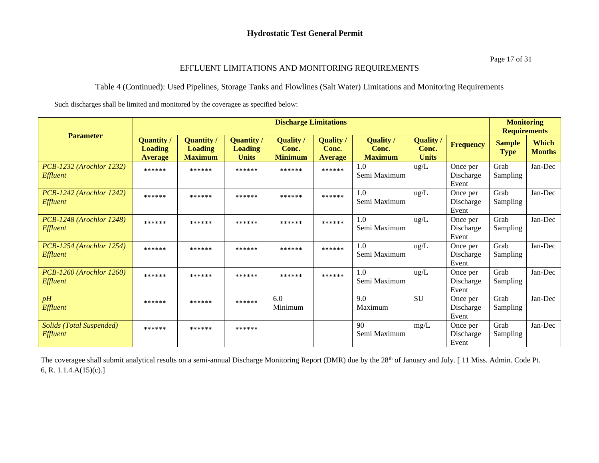#### EFFLUENT LIMITATIONS AND MONITORING REQUIREMENTS

#### Table 4 (Continued): Used Pipelines, Storage Tanks and Flowlines (Salt Water) Limitations and Monitoring Requirements

Such discharges shall be limited and monitored by the coveragee as specified below:

|                                                    |                                                       |                                                       |                                                     | <b>Discharge Limitations</b>              |                                           |                                             |                                           |                                | <b>Monitoring</b><br><b>Requirements</b> |                               |
|----------------------------------------------------|-------------------------------------------------------|-------------------------------------------------------|-----------------------------------------------------|-------------------------------------------|-------------------------------------------|---------------------------------------------|-------------------------------------------|--------------------------------|------------------------------------------|-------------------------------|
| <b>Parameter</b>                                   | <b>Quantity /</b><br><b>Loading</b><br><b>Average</b> | <b>Quantity /</b><br><b>Loading</b><br><b>Maximum</b> | <b>Quantity</b> /<br><b>Loading</b><br><b>Units</b> | <b>Quality</b><br>Conc.<br><b>Minimum</b> | <b>Quality</b><br>Conc.<br><b>Average</b> | <b>Quality</b> /<br>Conc.<br><b>Maximum</b> | <b>Quality</b> /<br>Conc.<br><b>Units</b> | <b>Frequency</b>               | <b>Sample</b><br><b>Type</b>             | <b>Which</b><br><b>Months</b> |
| PCB-1232 (Arochlor 1232)<br>Effluent               | ******                                                | ******                                                | ******                                              | ******                                    | ******                                    | 1.0<br>Semi Maximum                         | $\text{ug/L}$                             | Once per<br>Discharge<br>Event | Grab<br>Sampling                         | Jan-Dec                       |
| PCB-1242 (Arochlor 1242)<br><b>Effluent</b>        | ******                                                | ******                                                | ******                                              | ******                                    | ******                                    | 1.0<br>Semi Maximum                         | $\text{ug/L}$                             | Once per<br>Discharge<br>Event | Grab<br>Sampling                         | Jan-Dec                       |
| PCB-1248 (Arochlor 1248)<br><b>Effluent</b>        | ******                                                | ******                                                | ******                                              | ******                                    | ******                                    | 1.0<br>Semi Maximum                         | $\text{ug/L}$                             | Once per<br>Discharge<br>Event | Grab<br><b>Sampling</b>                  | Jan-Dec                       |
| PCB-1254 (Arochlor 1254)<br><b>Effluent</b>        | ******                                                | ******                                                | ******                                              | ******                                    | ******                                    | 1.0<br>Semi Maximum                         | $\text{ug/L}$                             | Once per<br>Discharge<br>Event | Grab<br>Sampling                         | Jan-Dec                       |
| <b>PCB-1260</b> (Arochlor 1260)<br><b>Effluent</b> | ******                                                | ******                                                | ******                                              | ******                                    | ******                                    | 1.0<br>Semi Maximum                         | $\text{ug/L}$                             | Once per<br>Discharge<br>Event | Grab<br><b>Sampling</b>                  | Jan-Dec                       |
| pH<br><b>Effluent</b>                              | ******                                                | ******                                                | ******                                              | 6.0<br>Minimum                            |                                           | 9.0<br>Maximum                              | <b>SU</b>                                 | Once per<br>Discharge<br>Event | Grab<br><b>Sampling</b>                  | Jan-Dec                       |
| <b>Solids (Total Suspended)</b><br>Effluent        | ******                                                | ******                                                | ******                                              |                                           |                                           | 90<br>Semi Maximum                          | mg/L                                      | Once per<br>Discharge<br>Event | Grab<br>Sampling                         | Jan-Dec                       |

The coveragee shall submit analytical results on a semi-annual Discharge Monitoring Report (DMR) due by the 28<sup>th</sup> of January and July. [11 Miss. Admin. Code Pt. 6, R. 1.1.4.A(15)(c).]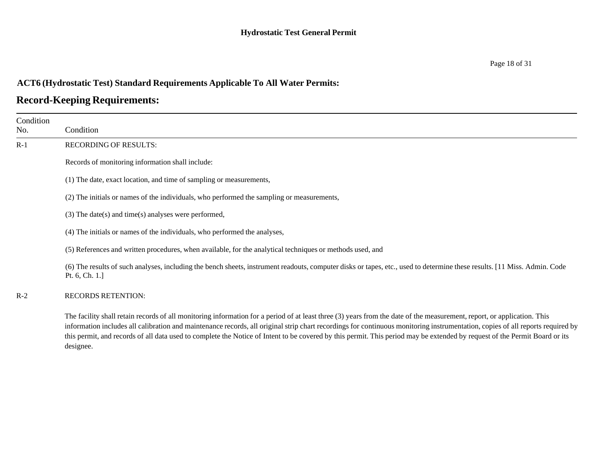## **Record-Keeping Requirements:**

| Condition<br>No. | Condition                                                                                                                                                                                                                                                                                                                                                                                                                                                                                                                                            |
|------------------|------------------------------------------------------------------------------------------------------------------------------------------------------------------------------------------------------------------------------------------------------------------------------------------------------------------------------------------------------------------------------------------------------------------------------------------------------------------------------------------------------------------------------------------------------|
| $R-1$            | <b>RECORDING OF RESULTS:</b>                                                                                                                                                                                                                                                                                                                                                                                                                                                                                                                         |
|                  | Records of monitoring information shall include:                                                                                                                                                                                                                                                                                                                                                                                                                                                                                                     |
|                  | (1) The date, exact location, and time of sampling or measurements,                                                                                                                                                                                                                                                                                                                                                                                                                                                                                  |
|                  | (2) The initials or names of the individuals, who performed the sampling or measurements,                                                                                                                                                                                                                                                                                                                                                                                                                                                            |
|                  | $(3)$ The date(s) and time(s) analyses were performed,                                                                                                                                                                                                                                                                                                                                                                                                                                                                                               |
|                  | (4) The initials or names of the individuals, who performed the analyses,                                                                                                                                                                                                                                                                                                                                                                                                                                                                            |
|                  | (5) References and written procedures, when available, for the analytical techniques or methods used, and                                                                                                                                                                                                                                                                                                                                                                                                                                            |
|                  | (6) The results of such analyses, including the bench sheets, instrument readouts, computer disks or tapes, etc., used to determine these results. [11 Miss. Admin. Code<br>Pt. 6, Ch. 1.]                                                                                                                                                                                                                                                                                                                                                           |
| $R-2$            | <b>RECORDS RETENTION:</b>                                                                                                                                                                                                                                                                                                                                                                                                                                                                                                                            |
|                  | The facility shall retain records of all monitoring information for a period of at least three (3) years from the date of the measurement, report, or application. This<br>information includes all calibration and maintenance records, all original strip chart recordings for continuous monitoring instrumentation, copies of all reports required by<br>this permit, and records of all data used to complete the Notice of Intent to be covered by this permit. This period may be extended by request of the Permit Board or its<br>designee. |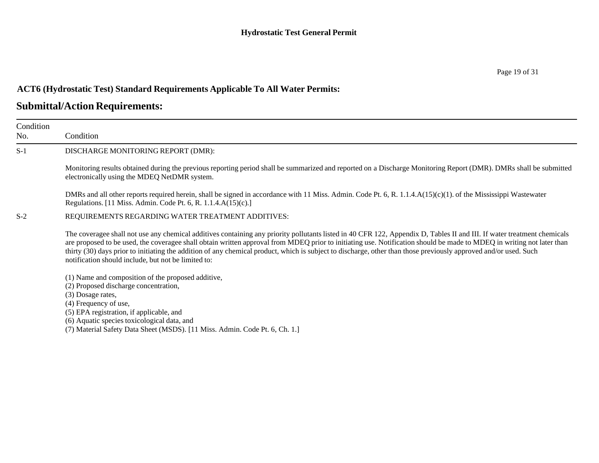| Condition<br>No. | Condition                                                                                                                                                                                                                                                                                                                                                                                                                                                                                                                                                                   |
|------------------|-----------------------------------------------------------------------------------------------------------------------------------------------------------------------------------------------------------------------------------------------------------------------------------------------------------------------------------------------------------------------------------------------------------------------------------------------------------------------------------------------------------------------------------------------------------------------------|
| $S-1$            | DISCHARGE MONITORING REPORT (DMR):                                                                                                                                                                                                                                                                                                                                                                                                                                                                                                                                          |
|                  | Monitoring results obtained during the previous reporting period shall be summarized and reported on a Discharge Monitoring Report (DMR). DMRs shall be submitted<br>electronically using the MDEQ NetDMR system.                                                                                                                                                                                                                                                                                                                                                           |
|                  | DMRs and all other reports required herein, shall be signed in accordance with 11 Miss. Admin. Code Pt. 6, R. 1.1.4.A(15)(c)(1). of the Mississippi Wastewater<br>Regulations. [11 Miss. Admin. Code Pt. 6, R. 1.1.4.A(15)(c).]                                                                                                                                                                                                                                                                                                                                             |
| $S-2$            | REQUIREMENTS REGARDING WATER TREATMENT ADDITIVES:                                                                                                                                                                                                                                                                                                                                                                                                                                                                                                                           |
|                  | The coveragee shall not use any chemical additives containing any priority pollutants listed in 40 CFR 122, Appendix D, Tables II and III. If water treatment chemicals<br>are proposed to be used, the coveragee shall obtain written approval from MDEQ prior to initiating use. Notification should be made to MDEQ in writing not later than<br>thirty (30) days prior to initiating the addition of any chemical product, which is subject to discharge, other than those previously approved and/or used. Such<br>notification should include, but not be limited to: |
|                  | (1) Name and composition of the proposed additive,<br>(2) Proposed discharge concentration,<br>(3) Dosage rates,<br>(4) Frequency of use,<br>(5) EPA registration, if applicable, and<br>(6) Aquatic species toxicological data, and<br>(7) Material Safety Data Sheet (MSDS). [11 Miss. Admin. Code Pt. 6, Ch. 1.]                                                                                                                                                                                                                                                         |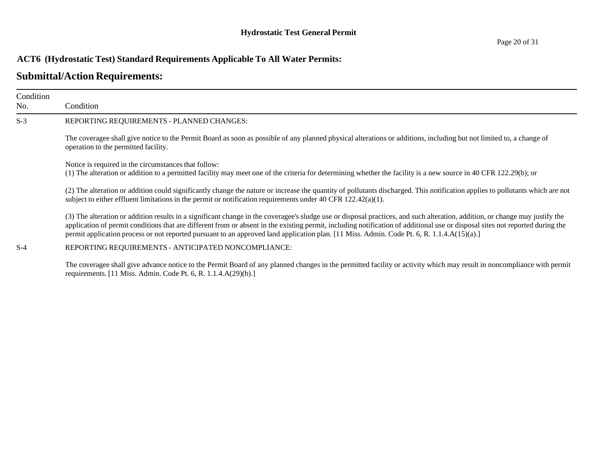### **Submittal/Action Requirements:**

| Condition<br>No. | Condition                                                                                                                                                                                                                                                                                                                                                                                                                                                                                                   |
|------------------|-------------------------------------------------------------------------------------------------------------------------------------------------------------------------------------------------------------------------------------------------------------------------------------------------------------------------------------------------------------------------------------------------------------------------------------------------------------------------------------------------------------|
| $S-3$            | REPORTING REQUIREMENTS - PLANNED CHANGES:                                                                                                                                                                                                                                                                                                                                                                                                                                                                   |
|                  | The coveragee shall give notice to the Permit Board as soon as possible of any planned physical alterations or additions, including but not limited to, a change of<br>operation to the permitted facility.                                                                                                                                                                                                                                                                                                 |
|                  | Notice is required in the circumstances that follow:<br>(1) The alteration or addition to a permitted facility may meet one of the criteria for determining whether the facility is a new source in 40 CFR 122.29(b); or                                                                                                                                                                                                                                                                                    |
|                  | (2) The alteration or addition could significantly change the nature or increase the quantity of pollutants discharged. This notification applies to pollutants which are not<br>subject to either effluent limitations in the permit or notification requirements under 40 CFR $122.42(a)(1)$ .                                                                                                                                                                                                            |
|                  | (3) The alteration or addition results in a significant change in the coveragee's sludge use or disposal practices, and such alteration, addition, or change may justify the<br>application of permit conditions that are different from or absent in the existing permit, including notification of additional use or disposal sites not reported during the<br>permit application process or not reported pursuant to an approved land application plan. [11 Miss. Admin. Code Pt. 6, R. 1.1.4.A(15)(a).] |
| $S-4$            | REPORTING REQUIREMENTS - ANTICIPATED NONCOMPLIANCE:                                                                                                                                                                                                                                                                                                                                                                                                                                                         |

The coveragee shall give advance notice to the Permit Board of any planned changes in the permitted facility or activity which may result in noncompliance with permit requirements. [11 Miss. Admin. Code Pt. 6, R. 1.1.4.A(29)(b).]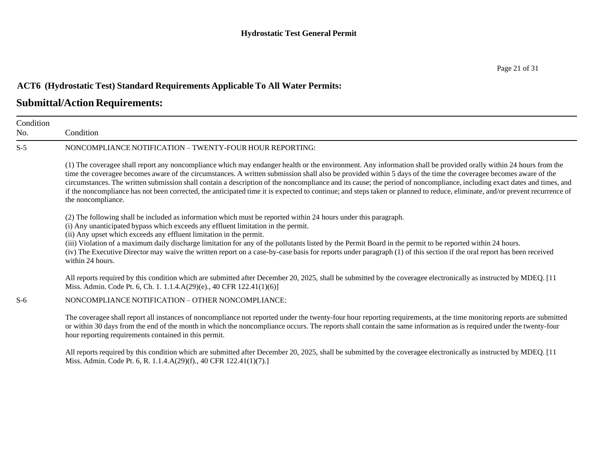## **Submittal/Action Requirements:**

| Condition<br>No. | Condition                                                                                                                                                                                                                                                                                                                                                                                                                                                                                                                                                                                                                                                                                                           |
|------------------|---------------------------------------------------------------------------------------------------------------------------------------------------------------------------------------------------------------------------------------------------------------------------------------------------------------------------------------------------------------------------------------------------------------------------------------------------------------------------------------------------------------------------------------------------------------------------------------------------------------------------------------------------------------------------------------------------------------------|
| $S-5$            | NONCOMPLIANCE NOTIFICATION - TWENTY-FOUR HOUR REPORTING:                                                                                                                                                                                                                                                                                                                                                                                                                                                                                                                                                                                                                                                            |
|                  | (1) The coveragee shall report any noncompliance which may endanger health or the environment. Any information shall be provided orally within 24 hours from the<br>time the coveragee becomes aware of the circumstances. A written submission shall also be provided within 5 days of the time the coveragee becomes aware of the<br>circumstances. The written submission shall contain a description of the noncompliance and its cause; the period of noncompliance, including exact dates and times, and<br>if the noncompliance has not been corrected, the anticipated time it is expected to continue; and steps taken or planned to reduce, eliminate, and/or prevent recurrence of<br>the noncompliance. |
|                  | (2) The following shall be included as information which must be reported within 24 hours under this paragraph.<br>(i) Any unanticipated bypass which exceeds any effluent limitation in the permit.<br>(ii) Any upset which exceeds any effluent limitation in the permit.<br>(iii) Violation of a maximum daily discharge limitation for any of the pollutants listed by the Permit Board in the permit to be reported within 24 hours.<br>(iv) The Executive Director may waive the written report on a case-by-case basis for reports under paragraph (1) of this section if the oral report has been received<br>within 24 hours.                                                                              |
|                  | All reports required by this condition which are submitted after December 20, 2025, shall be submitted by the coveragee electronically as instructed by MDEQ. [11<br>Miss. Admin. Code Pt. 6, Ch. 1. 1.1.4.A(29)(e)., 40 CFR 122.41(1)(6)]                                                                                                                                                                                                                                                                                                                                                                                                                                                                          |
| $S-6$            | NONCOMPLIANCE NOTIFICATION - OTHER NONCOMPLIANCE:                                                                                                                                                                                                                                                                                                                                                                                                                                                                                                                                                                                                                                                                   |
|                  | The coveragee shall report all instances of noncompliance not reported under the twenty-four hour reporting requirements, at the time monitoring reports are submitted<br>or within 30 days from the end of the month in which the noncompliance occurs. The reports shall contain the same information as is required under the twenty-four<br>hour reporting requirements contained in this permit.                                                                                                                                                                                                                                                                                                               |
|                  | All reports required by this condition which are submitted after December 20, 2025, shall be submitted by the coveragee electronically as instructed by MDEQ. [11<br>Miss. Admin. Code Pt. 6, R. 1.1.4.A(29)(f)., 40 CFR 122.41(1)(7).]                                                                                                                                                                                                                                                                                                                                                                                                                                                                             |

Page 21 of 31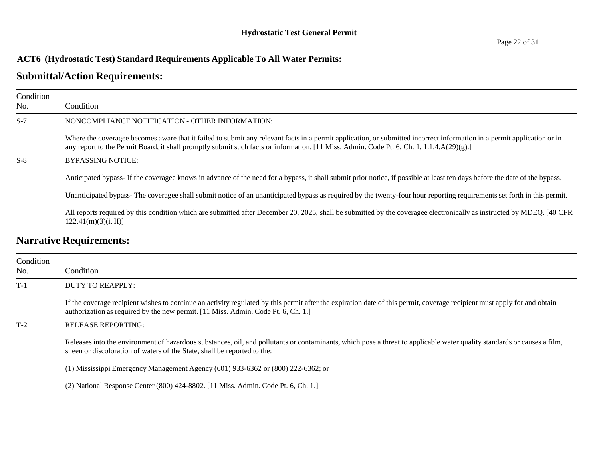| Condition<br>No. | Condition                                                                                                                                                                                                                                                                                                           |
|------------------|---------------------------------------------------------------------------------------------------------------------------------------------------------------------------------------------------------------------------------------------------------------------------------------------------------------------|
| $S-7$            | NONCOMPLIANCE NOTIFICATION - OTHER INFORMATION:                                                                                                                                                                                                                                                                     |
|                  | Where the coveragee becomes aware that it failed to submit any relevant facts in a permit application, or submitted incorrect information in a permit application or in<br>any report to the Permit Board, it shall promptly submit such facts or information. [11 Miss. Admin. Code Pt. 6, Ch. 1. 1.1.4.A(29)(g).] |
| $S-8$            | <b>BYPASSING NOTICE:</b>                                                                                                                                                                                                                                                                                            |
|                  | Anticipated bypass- If the coveragee knows in advance of the need for a bypass, it shall submit prior notice, if possible at least ten days before the date of the bypass.                                                                                                                                          |
|                  | Unanticipated bypass-The coveragee shall submit notice of an unanticipated bypass as required by the twenty-four hour reporting requirements set forth in this permit.                                                                                                                                              |
|                  | All reports required by this condition which are submitted after December 20, 2025, shall be submitted by the coveragee electronically as instructed by MDEQ. [40 CFR<br>122.41(m)(3)(i, II)                                                                                                                        |
|                  | <b>Narrative Requirements:</b>                                                                                                                                                                                                                                                                                      |

| Condition<br>No. | Condition                                                                                                                                                                                                                                                     |
|------------------|---------------------------------------------------------------------------------------------------------------------------------------------------------------------------------------------------------------------------------------------------------------|
| $T-1$            | DUTY TO REAPPLY:                                                                                                                                                                                                                                              |
|                  | If the coverage recipient wishes to continue an activity regulated by this permit after the expiration date of this permit, coverage recipient must apply for and obtain<br>authorization as required by the new permit. [11 Miss. Admin. Code Pt. 6, Ch. 1.] |
| $T-2$            | RELEASE REPORTING:                                                                                                                                                                                                                                            |
|                  | Releases into the environment of hazardous substances, oil, and pollutants or contaminants, which pose a threat to applicable water quality standards or causes a film,<br>sheen or discoloration of waters of the State, shall be reported to the:           |
|                  | $(1)$ Mississippi Emergency Management Agency $(601)$ 933-6362 or $(800)$ 222-6362; or                                                                                                                                                                        |
|                  | (2) National Response Center (800) 424-8802. [11 Miss. Admin. Code Pt. 6, Ch. 1.]                                                                                                                                                                             |
|                  |                                                                                                                                                                                                                                                               |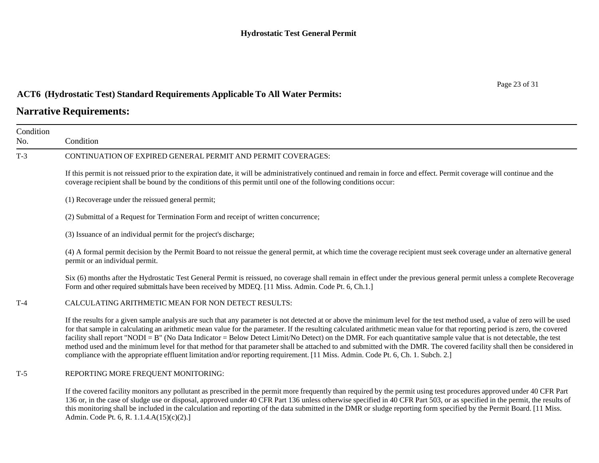### **Narrative Requirements:**

| Condition<br>No. | Condition                                                                                                                                                                                                                                                                                                                                                                                                                                                                                                                                                                                                                                                                                                                                                                                                                                       |
|------------------|-------------------------------------------------------------------------------------------------------------------------------------------------------------------------------------------------------------------------------------------------------------------------------------------------------------------------------------------------------------------------------------------------------------------------------------------------------------------------------------------------------------------------------------------------------------------------------------------------------------------------------------------------------------------------------------------------------------------------------------------------------------------------------------------------------------------------------------------------|
| $T-3$            | CONTINUATION OF EXPIRED GENERAL PERMIT AND PERMIT COVERAGES:                                                                                                                                                                                                                                                                                                                                                                                                                                                                                                                                                                                                                                                                                                                                                                                    |
|                  | If this permit is not reissued prior to the expiration date, it will be administratively continued and remain in force and effect. Permit coverage will continue and the<br>coverage recipient shall be bound by the conditions of this permit until one of the following conditions occur:                                                                                                                                                                                                                                                                                                                                                                                                                                                                                                                                                     |
|                  | (1) Recoverage under the reissued general permit;                                                                                                                                                                                                                                                                                                                                                                                                                                                                                                                                                                                                                                                                                                                                                                                               |
|                  | (2) Submittal of a Request for Termination Form and receipt of written concurrence;                                                                                                                                                                                                                                                                                                                                                                                                                                                                                                                                                                                                                                                                                                                                                             |
|                  | (3) Issuance of an individual permit for the project's discharge;                                                                                                                                                                                                                                                                                                                                                                                                                                                                                                                                                                                                                                                                                                                                                                               |
|                  | (4) A formal permit decision by the Permit Board to not reissue the general permit, at which time the coverage recipient must seek coverage under an alternative general<br>permit or an individual permit.                                                                                                                                                                                                                                                                                                                                                                                                                                                                                                                                                                                                                                     |
|                  | Six (6) months after the Hydrostatic Test General Permit is reissued, no coverage shall remain in effect under the previous general permit unless a complete Recoverage<br>Form and other required submittals have been received by MDEQ. [11 Miss. Admin. Code Pt. 6, Ch.1.]                                                                                                                                                                                                                                                                                                                                                                                                                                                                                                                                                                   |
| $T-4$            | CALCULATING ARITHMETIC MEAN FOR NON DETECT RESULTS:                                                                                                                                                                                                                                                                                                                                                                                                                                                                                                                                                                                                                                                                                                                                                                                             |
|                  | If the results for a given sample analysis are such that any parameter is not detected at or above the minimum level for the test method used, a value of zero will be used<br>for that sample in calculating an arithmetic mean value for the parameter. If the resulting calculated arithmetic mean value for that reporting period is zero, the covered<br>facility shall report "NODI = B" (No Data Indicator = Below Detect Limit/No Detect) on the DMR. For each quantitative sample value that is not detectable, the test<br>method used and the minimum level for that method for that parameter shall be attached to and submitted with the DMR. The covered facility shall then be considered in<br>compliance with the appropriate effluent limitation and/or reporting requirement. [11 Miss. Admin. Code Pt. 6, Ch. 1. Subch. 2.] |
| T-5              | REPORTING MORE FREQUENT MONITORING:                                                                                                                                                                                                                                                                                                                                                                                                                                                                                                                                                                                                                                                                                                                                                                                                             |

If the covered facility monitors any pollutant as prescribed in the permit more frequently than required by the permit using test procedures approved under 40 CFR Part 136 or, in the case of sludge use or disposal, approved under 40 CFR Part 136 unless otherwise specified in 40 CFR Part 503, or as specified in the permit, the results of this monitoring shall be included in the calculation and reporting of the data submitted in the DMR or sludge reporting form specified by the Permit Board. [11 Miss. Admin. Code Pt. 6, R. 1.1.4.A(15)(c)(2).]

Page 23 of 31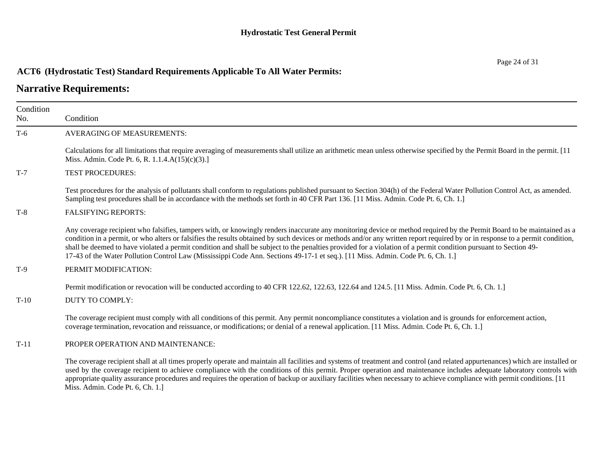## **Narrative Requirements:**

| Condition |                                                                                                                                                                                                                                                                                                                                                                                                                                                                                                                                                                                                                                                                |
|-----------|----------------------------------------------------------------------------------------------------------------------------------------------------------------------------------------------------------------------------------------------------------------------------------------------------------------------------------------------------------------------------------------------------------------------------------------------------------------------------------------------------------------------------------------------------------------------------------------------------------------------------------------------------------------|
| No.       | Condition                                                                                                                                                                                                                                                                                                                                                                                                                                                                                                                                                                                                                                                      |
| $T-6$     | <b>AVERAGING OF MEASUREMENTS:</b>                                                                                                                                                                                                                                                                                                                                                                                                                                                                                                                                                                                                                              |
|           | Calculations for all limitations that require averaging of measurements shall utilize an arithmetic mean unless otherwise specified by the Permit Board in the permit. [11<br>Miss. Admin. Code Pt. 6, R. 1.1.4.A(15)(c)(3).]                                                                                                                                                                                                                                                                                                                                                                                                                                  |
| $T-7$     | <b>TEST PROCEDURES:</b>                                                                                                                                                                                                                                                                                                                                                                                                                                                                                                                                                                                                                                        |
|           | Test procedures for the analysis of pollutants shall conform to regulations published pursuant to Section 304(h) of the Federal Water Pollution Control Act, as amended.<br>Sampling test procedures shall be in accordance with the methods set forth in 40 CFR Part 136. [11 Miss. Admin. Code Pt. 6, Ch. 1.]                                                                                                                                                                                                                                                                                                                                                |
| $T-8$     | <b>FALSIFYING REPORTS:</b>                                                                                                                                                                                                                                                                                                                                                                                                                                                                                                                                                                                                                                     |
|           | Any coverage recipient who falsifies, tampers with, or knowingly renders inaccurate any monitoring device or method required by the Permit Board to be maintained as a<br>condition in a permit, or who alters or falsifies the results obtained by such devices or methods and/or any written report required by or in response to a permit condition,<br>shall be deemed to have violated a permit condition and shall be subject to the penalties provided for a violation of a permit condition pursuant to Section 49-<br>17-43 of the Water Pollution Control Law (Mississippi Code Ann. Sections 49-17-1 et seq.). [11 Miss. Admin. Code Pt. 6, Ch. 1.] |
| $T-9$     | PERMIT MODIFICATION:                                                                                                                                                                                                                                                                                                                                                                                                                                                                                                                                                                                                                                           |
|           | Permit modification or revocation will be conducted according to 40 CFR 122.62, 122.63, 122.64 and 124.5. [11 Miss. Admin. Code Pt. 6, Ch. 1.]                                                                                                                                                                                                                                                                                                                                                                                                                                                                                                                 |
| $T-10$    | <b>DUTY TO COMPLY:</b>                                                                                                                                                                                                                                                                                                                                                                                                                                                                                                                                                                                                                                         |
|           | The coverage recipient must comply with all conditions of this permit. Any permit noncompliance constitutes a violation and is grounds for enforcement action,<br>coverage termination, revocation and reissuance, or modifications; or denial of a renewal application. [11 Miss. Admin. Code Pt. 6, Ch. 1.]                                                                                                                                                                                                                                                                                                                                                  |
| $T-11$    | PROPER OPERATION AND MAINTENANCE:                                                                                                                                                                                                                                                                                                                                                                                                                                                                                                                                                                                                                              |
|           | The coverage recipient shall at all times properly operate and maintain all facilities and systems of treatment and control (and related appurtenances) which are installed or<br>used by the coverage recipient to achieve compliance with the conditions of this permit. Proper operation and maintenance includes adequate laboratory controls with<br>appropriate quality assurance procedures and requires the operation of backup or auxiliary facilities when necessary to achieve compliance with permit conditions. [11]<br>Miss. Admin. Code Pt. 6, Ch. 1.]                                                                                          |

Page 24 of 31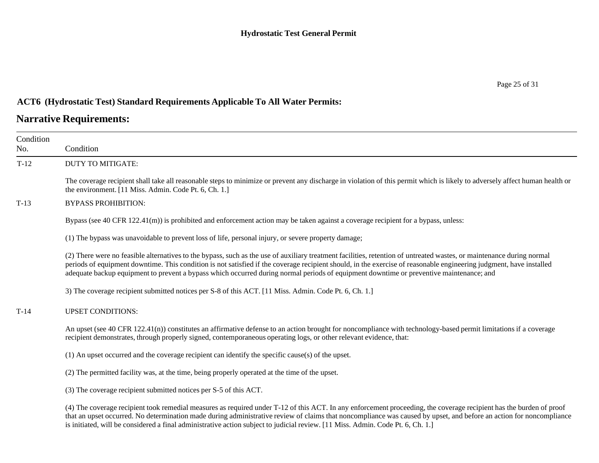## **Narrative Requirements:**

| Condition<br>No. | Condition                                                                                                                                                                                                                                                                                                                                                                                                                                                                               |
|------------------|-----------------------------------------------------------------------------------------------------------------------------------------------------------------------------------------------------------------------------------------------------------------------------------------------------------------------------------------------------------------------------------------------------------------------------------------------------------------------------------------|
| $T-12$           | DUTY TO MITIGATE:                                                                                                                                                                                                                                                                                                                                                                                                                                                                       |
|                  | The coverage recipient shall take all reasonable steps to minimize or prevent any discharge in violation of this permit which is likely to adversely affect human health or<br>the environment. [11 Miss. Admin. Code Pt. 6, Ch. 1.]                                                                                                                                                                                                                                                    |
| $T-13$           | <b>BYPASS PROHIBITION:</b>                                                                                                                                                                                                                                                                                                                                                                                                                                                              |
|                  | Bypass (see 40 CFR $122.41(m)$ ) is prohibited and enforcement action may be taken against a coverage recipient for a bypass, unless:                                                                                                                                                                                                                                                                                                                                                   |
|                  | (1) The bypass was unavoidable to prevent loss of life, personal injury, or severe property damage;                                                                                                                                                                                                                                                                                                                                                                                     |
|                  | (2) There were no feasible alternatives to the bypass, such as the use of auxiliary treatment facilities, retention of untreated wastes, or maintenance during normal<br>periods of equipment downtime. This condition is not satisfied if the coverage recipient should, in the exercise of reasonable engineering judgment, have installed<br>adequate backup equipment to prevent a bypass which occurred during normal periods of equipment downtime or preventive maintenance; and |
|                  | 3) The coverage recipient submitted notices per S-8 of this ACT. [11 Miss. Admin. Code Pt. 6, Ch. 1.]                                                                                                                                                                                                                                                                                                                                                                                   |
| $T-14$           | <b>UPSET CONDITIONS:</b>                                                                                                                                                                                                                                                                                                                                                                                                                                                                |
|                  | An upset (see 40 CFR 122.41(n)) constitutes an affirmative defense to an action brought for noncompliance with technology-based permit limitations if a coverage<br>recipient demonstrates, through properly signed, contemporaneous operating logs, or other relevant evidence, that:                                                                                                                                                                                                  |
|                  | (1) An upset occurred and the coverage recipient can identify the specific cause(s) of the upset.                                                                                                                                                                                                                                                                                                                                                                                       |
|                  | (2) The permitted facility was, at the time, being properly operated at the time of the upset.                                                                                                                                                                                                                                                                                                                                                                                          |
|                  | (3) The coverage recipient submitted notices per S-5 of this ACT.                                                                                                                                                                                                                                                                                                                                                                                                                       |
|                  | (4) The coverage recipient took remedial measures as required under T-12 of this ACT. In any enforcement proceeding, the coverage recipient has the burden of proof<br>that an upset occurred. No determination made during administrative review of claims that noncompliance was caused by upset, and before an action for noncompliance<br>is initiated, will be considered a final administrative action subject to judicial review. [11 Miss. Admin. Code Pt. 6, Ch. 1.]           |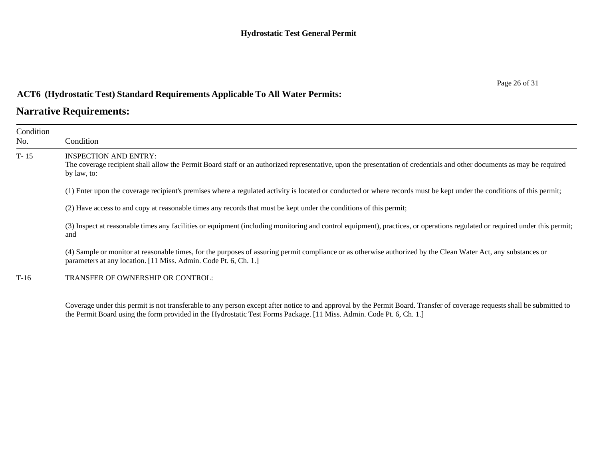## **Narrative Requirements:**

| Condition<br>No. | Condition                                                                                                                                                                                                                          |
|------------------|------------------------------------------------------------------------------------------------------------------------------------------------------------------------------------------------------------------------------------|
| $T-15$           | <b>INSPECTION AND ENTRY:</b><br>The coverage recipient shall allow the Permit Board staff or an authorized representative, upon the presentation of credentials and other documents as may be required<br>by law, to:              |
|                  | (1) Enter upon the coverage recipient's premises where a regulated activity is located or conducted or where records must be kept under the conditions of this permit;                                                             |
|                  | (2) Have access to and copy at reasonable times any records that must be kept under the conditions of this permit;                                                                                                                 |
|                  | (3) Inspect at reasonable times any facilities or equipment (including monitoring and control equipment), practices, or operations regulated or required under this permit;<br>and                                                 |
|                  | (4) Sample or monitor at reasonable times, for the purposes of assuring permit compliance or as otherwise authorized by the Clean Water Act, any substances or<br>parameters at any location. [11 Miss. Admin. Code Pt. 6, Ch. 1.] |
| $T-16$           | TRANSFER OF OWNERSHIP OR CONTROL:                                                                                                                                                                                                  |
|                  |                                                                                                                                                                                                                                    |

Coverage under this permit is not transferable to any person except after notice to and approval by the Permit Board. Transfer of coverage requests shall be submitted to the Permit Board using the form provided in the Hydrostatic Test Forms Package. [11 Miss. Admin. Code Pt. 6, Ch. 1.]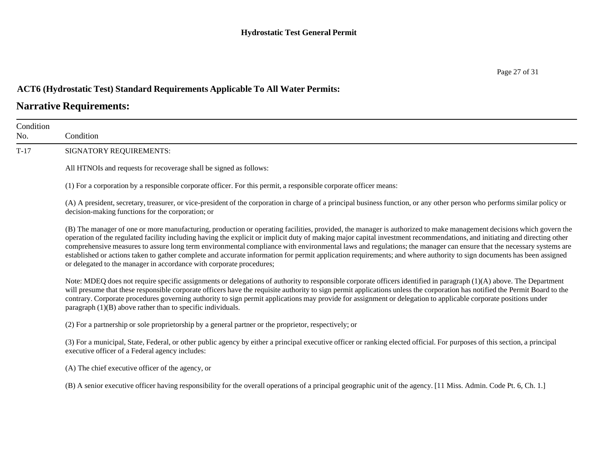## **Narrative Requirements:**

| Condition<br>No. | Condition                                                                                                                                                                                                                                                                                                                                                                                                                                                                                                                                                                                                                                                                                                                                                               |
|------------------|-------------------------------------------------------------------------------------------------------------------------------------------------------------------------------------------------------------------------------------------------------------------------------------------------------------------------------------------------------------------------------------------------------------------------------------------------------------------------------------------------------------------------------------------------------------------------------------------------------------------------------------------------------------------------------------------------------------------------------------------------------------------------|
| $T-17$           | SIGNATORY REQUIREMENTS:                                                                                                                                                                                                                                                                                                                                                                                                                                                                                                                                                                                                                                                                                                                                                 |
|                  | All HTNOIs and requests for recoverage shall be signed as follows:                                                                                                                                                                                                                                                                                                                                                                                                                                                                                                                                                                                                                                                                                                      |
|                  | (1) For a corporation by a responsible corporate officer. For this permit, a responsible corporate officer means:                                                                                                                                                                                                                                                                                                                                                                                                                                                                                                                                                                                                                                                       |
|                  | (A) A president, secretary, treasurer, or vice-president of the corporation in charge of a principal business function, or any other person who performs similar policy or<br>decision-making functions for the corporation; or                                                                                                                                                                                                                                                                                                                                                                                                                                                                                                                                         |
|                  | (B) The manager of one or more manufacturing, production or operating facilities, provided, the manager is authorized to make management decisions which govern the<br>operation of the regulated facility including having the explicit or implicit duty of making major capital investment recommendations, and initiating and directing other<br>comprehensive measures to assure long term environmental compliance with environmental laws and regulations; the manager can ensure that the necessary systems are<br>established or actions taken to gather complete and accurate information for permit application requirements; and where authority to sign documents has been assigned<br>or delegated to the manager in accordance with corporate procedures; |
|                  | Note: MDEQ does not require specific assignments or delegations of authority to responsible corporate officers identified in paragraph (1)(A) above. The Department<br>will presume that these responsible corporate officers have the requisite authority to sign permit applications unless the corporation has notified the Permit Board to the<br>contrary. Corporate procedures governing authority to sign permit applications may provide for assignment or delegation to applicable corporate positions under<br>paragraph $(1)(B)$ above rather than to specific individuals.                                                                                                                                                                                  |
|                  | (2) For a partnership or sole proprietorship by a general partner or the proprietor, respectively; or                                                                                                                                                                                                                                                                                                                                                                                                                                                                                                                                                                                                                                                                   |
|                  | (3) For a municipal, State, Federal, or other public agency by either a principal executive officer or ranking elected official. For purposes of this section, a principal<br>executive officer of a Federal agency includes:                                                                                                                                                                                                                                                                                                                                                                                                                                                                                                                                           |
|                  | (A) The chief executive officer of the agency, or                                                                                                                                                                                                                                                                                                                                                                                                                                                                                                                                                                                                                                                                                                                       |
|                  | (B) A senior executive officer having responsibility for the overall operations of a principal geographic unit of the agency. [11 Miss. Admin. Code Pt. 6, Ch. 1.]                                                                                                                                                                                                                                                                                                                                                                                                                                                                                                                                                                                                      |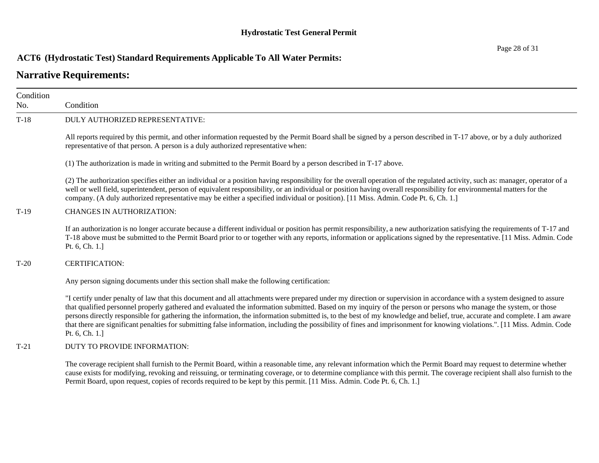## **Narrative Requirements:**

| Condition<br>No. | Condition                                                                                                                                                                                                                                                                                                                                                                                                                                                                                                                                                                                                                                                                                                              |
|------------------|------------------------------------------------------------------------------------------------------------------------------------------------------------------------------------------------------------------------------------------------------------------------------------------------------------------------------------------------------------------------------------------------------------------------------------------------------------------------------------------------------------------------------------------------------------------------------------------------------------------------------------------------------------------------------------------------------------------------|
| $T-18$           | DULY AUTHORIZED REPRESENTATIVE:                                                                                                                                                                                                                                                                                                                                                                                                                                                                                                                                                                                                                                                                                        |
|                  | All reports required by this permit, and other information requested by the Permit Board shall be signed by a person described in T-17 above, or by a duly authorized<br>representative of that person. A person is a duly authorized representative when:                                                                                                                                                                                                                                                                                                                                                                                                                                                             |
|                  | (1) The authorization is made in writing and submitted to the Permit Board by a person described in T-17 above.                                                                                                                                                                                                                                                                                                                                                                                                                                                                                                                                                                                                        |
|                  | (2) The authorization specifies either an individual or a position having responsibility for the overall operation of the regulated activity, such as: manager, operator of a<br>well or well field, superintendent, person of equivalent responsibility, or an individual or position having overall responsibility for environmental matters for the<br>company. (A duly authorized representative may be either a specified individual or position). [11 Miss. Admin. Code Pt. 6, Ch. 1.]                                                                                                                                                                                                                           |
| $T-19$           | <b>CHANGES IN AUTHORIZATION:</b>                                                                                                                                                                                                                                                                                                                                                                                                                                                                                                                                                                                                                                                                                       |
|                  | If an authorization is no longer accurate because a different individual or position has permit responsibility, a new authorization satisfying the requirements of T-17 and<br>T-18 above must be submitted to the Permit Board prior to or together with any reports, information or applications signed by the representative. [11 Miss. Admin. Code<br>Pt. 6, Ch. 1.]                                                                                                                                                                                                                                                                                                                                               |
| $T-20$           | <b>CERTIFICATION:</b>                                                                                                                                                                                                                                                                                                                                                                                                                                                                                                                                                                                                                                                                                                  |
|                  | Any person signing documents under this section shall make the following certification:                                                                                                                                                                                                                                                                                                                                                                                                                                                                                                                                                                                                                                |
|                  | "I certify under penalty of law that this document and all attachments were prepared under my direction or supervision in accordance with a system designed to assure<br>that qualified personnel properly gathered and evaluated the information submitted. Based on my inquiry of the person or persons who manage the system, or those<br>persons directly responsible for gathering the information, the information submitted is, to the best of my knowledge and belief, true, accurate and complete. I am aware<br>that there are significant penalties for submitting false information, including the possibility of fines and imprisonment for knowing violations.". [11 Miss. Admin. Code<br>Pt. 6, Ch. 1.] |
| $T-21$           | DUTY TO PROVIDE INFORMATION:                                                                                                                                                                                                                                                                                                                                                                                                                                                                                                                                                                                                                                                                                           |
|                  | The coverage recipient shall furnish to the Permit Board, within a reasonable time, any relevant information which the Permit Board may request to determine whether<br>cause exists for modifying, revoking and reissuing, or terminating coverage, or to determine compliance with this permit. The coverage recipient shall also furnish to the<br>Permit Board, upon request, copies of records required to be kept by this permit. [11 Miss. Admin. Code Pt. 6, Ch. 1.]                                                                                                                                                                                                                                           |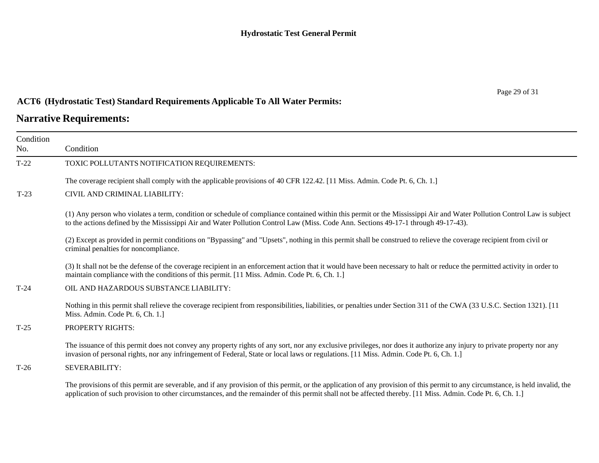## **Narrative Requirements:**

| Condition<br>No. | Condition                                                                                                                                                                                                                                                                                                                                    |
|------------------|----------------------------------------------------------------------------------------------------------------------------------------------------------------------------------------------------------------------------------------------------------------------------------------------------------------------------------------------|
| $T-22$           | TOXIC POLLUTANTS NOTIFICATION REQUIREMENTS:                                                                                                                                                                                                                                                                                                  |
|                  | The coverage recipient shall comply with the applicable provisions of 40 CFR 122.42. [11 Miss. Admin. Code Pt. 6, Ch. 1.]                                                                                                                                                                                                                    |
| $T-23$           | CIVIL AND CRIMINAL LIABILITY:                                                                                                                                                                                                                                                                                                                |
|                  | (1) Any person who violates a term, condition or schedule of compliance contained within this permit or the Mississippi Air and Water Pollution Control Law is subject<br>to the actions defined by the Mississippi Air and Water Pollution Control Law (Miss. Code Ann. Sections 49-17-1 through 49-17-43).                                 |
|                  | (2) Except as provided in permit conditions on "Bypassing" and "Upsets", nothing in this permit shall be construed to relieve the coverage recipient from civil or<br>criminal penalties for noncompliance.                                                                                                                                  |
|                  | (3) It shall not be the defense of the coverage recipient in an enforcement action that it would have been necessary to halt or reduce the permitted activity in order to<br>maintain compliance with the conditions of this permit. [11 Miss. Admin. Code Pt. 6, Ch. 1.]                                                                    |
| $T-24$           | OIL AND HAZARDOUS SUBSTANCE LIABILITY:                                                                                                                                                                                                                                                                                                       |
|                  | Nothing in this permit shall relieve the coverage recipient from responsibilities, liabilities, or penalties under Section 311 of the CWA (33 U.S.C. Section 1321). [11]<br>Miss. Admin. Code Pt. 6, Ch. 1.]                                                                                                                                 |
| $T-25$           | PROPERTY RIGHTS:                                                                                                                                                                                                                                                                                                                             |
|                  | The issuance of this permit does not convey any property rights of any sort, nor any exclusive privileges, nor does it authorize any injury to private property nor any<br>invasion of personal rights, nor any infringement of Federal, State or local laws or regulations. [11 Miss. Admin. Code Pt. 6, Ch. 1.]                            |
| $T-26$           | SEVERABILITY:                                                                                                                                                                                                                                                                                                                                |
|                  | The provisions of this permit are severable, and if any provision of this permit, or the application of any provision of this permit to any circumstance, is held invalid, the<br>application of such provision to other circumstances, and the remainder of this permit shall not be affected thereby. [11 Miss. Admin. Code Pt. 6, Ch. 1.] |

Page 29 of 31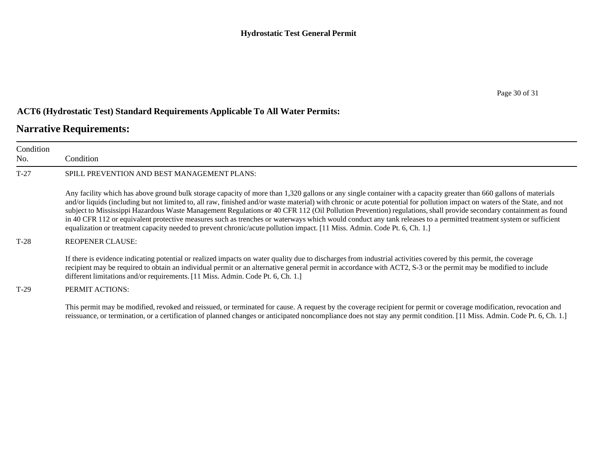## **Narrative Requirements:**

| Condition<br>No. | Condition                                                                                                                                                                                                                                                                                                                                                                                                                                                                                                                                                                                                                                                                                                                                                                                                               |
|------------------|-------------------------------------------------------------------------------------------------------------------------------------------------------------------------------------------------------------------------------------------------------------------------------------------------------------------------------------------------------------------------------------------------------------------------------------------------------------------------------------------------------------------------------------------------------------------------------------------------------------------------------------------------------------------------------------------------------------------------------------------------------------------------------------------------------------------------|
| $T-27$           | SPILL PREVENTION AND BEST MANAGEMENT PLANS:                                                                                                                                                                                                                                                                                                                                                                                                                                                                                                                                                                                                                                                                                                                                                                             |
|                  | Any facility which has above ground bulk storage capacity of more than 1,320 gallons or any single container with a capacity greater than 660 gallons of materials<br>and/or liquids (including but not limited to, all raw, finished and/or waste material) with chronic or acute potential for pollution impact on waters of the State, and not<br>subject to Mississippi Hazardous Waste Management Regulations or 40 CFR 112 (Oil Pollution Prevention) regulations, shall provide secondary containment as found<br>in 40 CFR 112 or equivalent protective measures such as trenches or waterways which would conduct any tank releases to a permitted treatment system or sufficient<br>equalization or treatment capacity needed to prevent chronic/acute pollution impact. [11 Miss. Admin. Code Pt. 6, Ch. 1.] |
| $T-28$           | <b>REOPENER CLAUSE:</b>                                                                                                                                                                                                                                                                                                                                                                                                                                                                                                                                                                                                                                                                                                                                                                                                 |
|                  | If there is evidence indicating potential or realized impacts on water quality due to discharges from industrial activities covered by this permit, the coverage<br>recipient may be required to obtain an individual permit or an alternative general permit in accordance with ACT2, S-3 or the permit may be modified to include<br>different limitations and/or requirements. [11 Miss. Admin. Code Pt. 6, Ch. 1.]                                                                                                                                                                                                                                                                                                                                                                                                  |
| $T-29$           | PERMIT ACTIONS:                                                                                                                                                                                                                                                                                                                                                                                                                                                                                                                                                                                                                                                                                                                                                                                                         |
|                  | This permit may be modified, revoked and reissued, or terminated for cause. A request by the coverage recipient for permit or coverage modification, revocation and                                                                                                                                                                                                                                                                                                                                                                                                                                                                                                                                                                                                                                                     |

This permit may be modified, revoked and reissued, or terminated for cause. A request by the coverage recipient for permit or coverage modification, revocation and reissuance, or termination, or a certification of planned changes or anticipated noncompliance does not stay any permit condition. [11 Miss. Admin. Code Pt. 6, Ch. 1.]